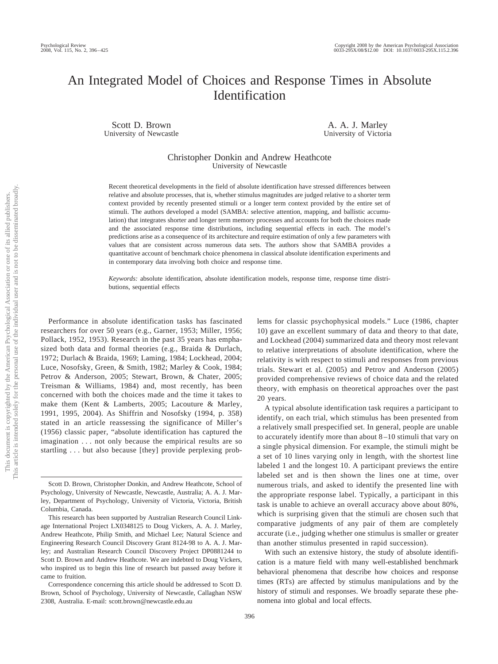# An Integrated Model of Choices and Response Times in Absolute Identification

Scott D. Brown University of Newcastle

A. A. J. Marley University of Victoria

Christopher Donkin and Andrew Heathcote University of Newcastle

Recent theoretical developments in the field of absolute identification have stressed differences between relative and absolute processes, that is, whether stimulus magnitudes are judged relative to a shorter term context provided by recently presented stimuli or a longer term context provided by the entire set of stimuli. The authors developed a model (SAMBA: selective attention, mapping, and ballistic accumulation) that integrates shorter and longer term memory processes and accounts for both the choices made and the associated response time distributions, including sequential effects in each. The model's predictions arise as a consequence of its architecture and require estimation of only a few parameters with values that are consistent across numerous data sets. The authors show that SAMBA provides a quantitative account of benchmark choice phenomena in classical absolute identification experiments and in contemporary data involving both choice and response time.

*Keywords:* absolute identification, absolute identification models, response time, response time distributions, sequential effects

Performance in absolute identification tasks has fascinated researchers for over 50 years (e.g., Garner, 1953; Miller, 1956; Pollack, 1952, 1953). Research in the past 35 years has emphasized both data and formal theories (e.g., Braida & Durlach, 1972; Durlach & Braida, 1969; Laming, 1984; Lockhead, 2004; Luce, Nosofsky, Green, & Smith, 1982; Marley & Cook, 1984; Petrov & Anderson, 2005; Stewart, Brown, & Chater, 2005; Treisman & Williams, 1984) and, most recently, has been concerned with both the choices made and the time it takes to make them (Kent & Lamberts, 2005; Lacouture & Marley, 1991, 1995, 2004). As Shiffrin and Nosofsky (1994, p. 358) stated in an article reassessing the significance of Miller's (1956) classic paper, "absolute identification has captured the imagination . . . not only because the empirical results are so startling . . . but also because [they] provide perplexing problems for classic psychophysical models." Luce (1986, chapter 10) gave an excellent summary of data and theory to that date, and Lockhead (2004) summarized data and theory most relevant to relative interpretations of absolute identification, where the relativity is with respect to stimuli and responses from previous trials. Stewart et al. (2005) and Petrov and Anderson (2005) provided comprehensive reviews of choice data and the related theory, with emphasis on theoretical approaches over the past 20 years.

A typical absolute identification task requires a participant to identify, on each trial, which stimulus has been presented from a relatively small prespecified set. In general, people are unable to accurately identify more than about 8–10 stimuli that vary on a single physical dimension. For example, the stimuli might be a set of 10 lines varying only in length, with the shortest line labeled 1 and the longest 10. A participant previews the entire labeled set and is then shown the lines one at time, over numerous trials, and asked to identify the presented line with the appropriate response label. Typically, a participant in this task is unable to achieve an overall accuracy above about 80%, which is surprising given that the stimuli are chosen such that comparative judgments of any pair of them are completely accurate (i.e., judging whether one stimulus is smaller or greater than another stimulus presented in rapid succession).

With such an extensive history, the study of absolute identification is a mature field with many well-established benchmark behavioral phenomena that describe how choices and response times (RTs) are affected by stimulus manipulations and by the history of stimuli and responses. We broadly separate these phenomena into global and local effects.

Scott D. Brown, Christopher Donkin, and Andrew Heathcote, School of Psychology, University of Newcastle, Newcastle, Australia; A. A. J. Marley, Department of Psychology, University of Victoria, Victoria, British Columbia, Canada.

This research has been supported by Australian Research Council Linkage International Project LX0348125 to Doug Vickers, A. A. J. Marley, Andrew Heathcote, Philip Smith, and Michael Lee; Natural Science and Engineering Research Council Discovery Grant 8124-98 to A. A. J. Marley; and Australian Research Council Discovery Project DP0881244 to Scott D. Brown and Andrew Heathcote. We are indebted to Doug Vickers, who inspired us to begin this line of research but passed away before it came to fruition.

Correspondence concerning this article should be addressed to Scott D. Brown, School of Psychology, University of Newcastle, Callaghan NSW 2308, Australia. E-mail: scott.brown@newcastle.edu.au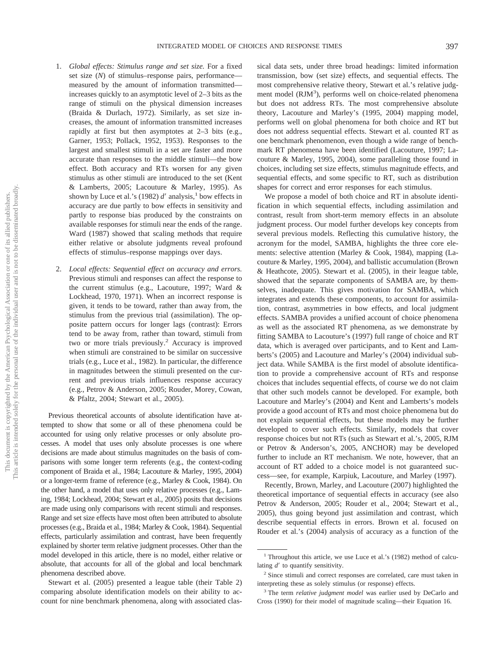- 1. *Global effects: Stimulus range and set size.* For a fixed set size (*N*) of stimulus–response pairs, performance measured by the amount of information transmitted increases quickly to an asymptotic level of 2–3 bits as the range of stimuli on the physical dimension increases (Braida & Durlach, 1972). Similarly, as set size increases, the amount of information transmitted increases rapidly at first but then asymptotes at 2–3 bits (e.g., Garner, 1953; Pollack, 1952, 1953). Responses to the largest and smallest stimuli in a set are faster and more accurate than responses to the middle stimuli—the bow effect. Both accuracy and RTs worsen for any given stimulus as other stimuli are introduced to the set (Kent & Lamberts, 2005; Lacouture & Marley, 1995). As shown by Luce et al.'s (1982)  $d'$  analysis,<sup>1</sup> bow effects in accuracy are due partly to bow effects in sensitivity and partly to response bias produced by the constraints on available responses for stimuli near the ends of the range. Ward (1987) showed that scaling methods that require either relative or absolute judgments reveal profound effects of stimulus–response mappings over days.
- 2. *Local effects: Sequential effect on accuracy and errors.* Previous stimuli and responses can affect the response to the current stimulus (e.g., Lacouture, 1997; Ward & Lockhead, 1970, 1971). When an incorrect response is given, it tends to be toward, rather than away from, the stimulus from the previous trial (assimilation). The opposite pattern occurs for longer lags (contrast): Errors tend to be away from, rather than toward, stimuli from two or more trials previously.<sup>2</sup> Accuracy is improved when stimuli are constrained to be similar on successive trials (e.g., Luce et al., 1982). In particular, the difference in magnitudes between the stimuli presented on the current and previous trials influences response accuracy (e.g., Petrov & Anderson, 2005; Rouder, Morey, Cowan, & Pfaltz, 2004; Stewart et al., 2005).

Previous theoretical accounts of absolute identification have attempted to show that some or all of these phenomena could be accounted for using only relative processes or only absolute processes. A model that uses only absolute processes is one where decisions are made about stimulus magnitudes on the basis of comparisons with some longer term referents (e.g., the context-coding component of Braida et al., 1984; Lacouture & Marley, 1995, 2004) or a longer-term frame of reference (e.g., Marley & Cook, 1984). On the other hand, a model that uses only relative processes (e.g., Laming, 1984; Lockhead, 2004; Stewart et al., 2005) posits that decisions are made using only comparisons with recent stimuli and responses. Range and set size effects have most often been attributed to absolute processes (e.g., Braida et al., 1984; Marley & Cook, 1984). Sequential effects, particularly assimilation and contrast, have been frequently explained by shorter term relative judgment processes. Other than the model developed in this article, there is no model, either relative or absolute, that accounts for all of the global and local benchmark phenomena described above.

Stewart et al. (2005) presented a league table (their Table 2) comparing absolute identification models on their ability to account for nine benchmark phenomena, along with associated classical data sets, under three broad headings: limited information transmission, bow (set size) effects, and sequential effects. The most comprehensive relative theory, Stewart et al.'s relative judgment model (RJM<sup>3</sup>), performs well on choice-related phenomena but does not address RTs. The most comprehensive absolute theory, Lacouture and Marley's (1995, 2004) mapping model, performs well on global phenomena for both choice and RT but does not address sequential effects. Stewart et al. counted RT as one benchmark phenomenon, even though a wide range of benchmark RT phenomena have been identified (Lacouture, 1997; Lacouture & Marley, 1995, 2004), some paralleling those found in choices, including set size effects, stimulus magnitude effects, and sequential effects, and some specific to RT, such as distribution shapes for correct and error responses for each stimulus.

We propose a model of both choice and RT in absolute identification in which sequential effects, including assimilation and contrast, result from short-term memory effects in an absolute judgment process. Our model further develops key concepts from several previous models. Reflecting this cumulative history, the acronym for the model, SAMBA, highlights the three core elements: selective attention (Marley & Cook, 1984), mapping (Lacouture & Marley, 1995, 2004), and ballistic accumulation (Brown & Heathcote, 2005). Stewart et al. (2005), in their league table, showed that the separate components of SAMBA are, by themselves, inadequate. This gives motivation for SAMBA, which integrates and extends these components, to account for assimilation, contrast, asymmetries in bow effects, and local judgment effects. SAMBA provides a unified account of choice phenomena as well as the associated RT phenomena, as we demonstrate by fitting SAMBA to Lacouture's (1997) full range of choice and RT data, which is averaged over participants, and to Kent and Lamberts's (2005) and Lacouture and Marley's (2004) individual subject data. While SAMBA is the first model of absolute identification to provide a comprehensive account of RTs and response choices that includes sequential effects, of course we do not claim that other such models cannot be developed. For example, both Lacouture and Marley's (2004) and Kent and Lamberts's models provide a good account of RTs and most choice phenomena but do not explain sequential effects, but these models may be further developed to cover such effects. Similarly, models that cover response choices but not RTs (such as Stewart et al.'s, 2005, RJM or Petrov & Anderson's, 2005, ANCHOR) may be developed further to include an RT mechanism. We note, however, that an account of RT added to a choice model is not guaranteed success—see, for example, Karpiuk, Lacouture, and Marley (1997).

Recently, Brown, Marley, and Lacouture (2007) highlighted the theoretical importance of sequential effects in accuracy (see also Petrov & Anderson, 2005; Rouder et al., 2004; Stewart et al., 2005), thus going beyond just assimilation and contrast, which describe sequential effects in errors. Brown et al. focused on Rouder et al.'s (2004) analysis of accuracy as a function of the

<sup>&</sup>lt;sup>1</sup> Throughout this article, we use Luce et al.'s (1982) method of calculating  $d'$  to quantify sensitivity.

<sup>2</sup> Since stimuli and correct responses are correlated, care must taken in interpreting these as solely stimulus (or response) effects.

<sup>3</sup> The term *relative judgment model* was earlier used by DeCarlo and Cross (1990) for their model of magnitude scaling—their Equation 16.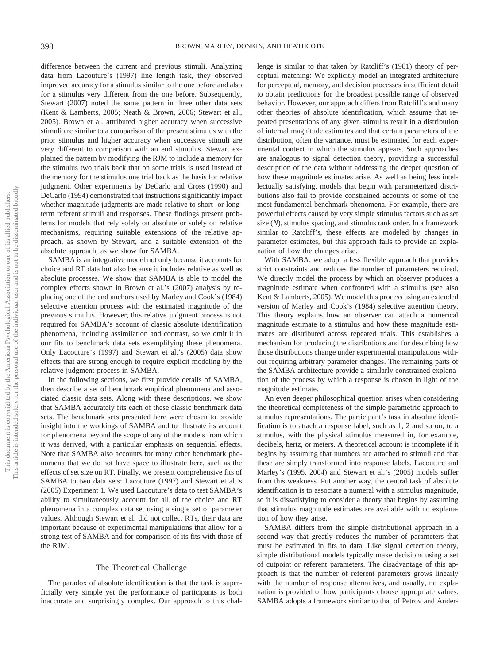difference between the current and previous stimuli. Analyzing data from Lacouture's (1997) line length task, they observed improved accuracy for a stimulus similar to the one before and also for a stimulus very different from the one before. Subsequently, Stewart (2007) noted the same pattern in three other data sets (Kent & Lamberts, 2005; Neath & Brown, 2006; Stewart et al., 2005). Brown et al. attributed higher accuracy when successive stimuli are similar to a comparison of the present stimulus with the prior stimulus and higher accuracy when successive stimuli are very different to comparison with an end stimulus. Stewart explained the pattern by modifying the RJM to include a memory for the stimulus two trials back that on some trials is used instead of the memory for the stimulus one trial back as the basis for relative judgment. Other experiments by DeCarlo and Cross (1990) and DeCarlo (1994) demonstrated that instructions significantly impact whether magnitude judgments are made relative to short- or longterm referent stimuli and responses. These findings present problems for models that rely solely on absolute or solely on relative mechanisms, requiring suitable extensions of the relative approach, as shown by Stewart, and a suitable extension of the absolute approach, as we show for SAMBA.

SAMBA is an integrative model not only because it accounts for choice and RT data but also because it includes relative as well as absolute processes. We show that SAMBA is able to model the complex effects shown in Brown et al.'s (2007) analysis by replacing one of the end anchors used by Marley and Cook's (1984) selective attention process with the estimated magnitude of the previous stimulus. However, this relative judgment process is not required for SAMBA's account of classic absolute identification phenomena, including assimilation and contrast, so we omit it in our fits to benchmark data sets exemplifying these phenomena. Only Lacouture's (1997) and Stewart et al.'s (2005) data show effects that are strong enough to require explicit modeling by the relative judgment process in SAMBA.

In the following sections, we first provide details of SAMBA, then describe a set of benchmark empirical phenomena and associated classic data sets. Along with these descriptions, we show that SAMBA accurately fits each of these classic benchmark data sets. The benchmark sets presented here were chosen to provide insight into the workings of SAMBA and to illustrate its account for phenomena beyond the scope of any of the models from which it was derived, with a particular emphasis on sequential effects. Note that SAMBA also accounts for many other benchmark phenomena that we do not have space to illustrate here, such as the effects of set size on RT. Finally, we present comprehensive fits of SAMBA to two data sets: Lacouture (1997) and Stewart et al.'s (2005) Experiment 1. We used Lacouture's data to test SAMBA's ability to simultaneously account for all of the choice and RT phenomena in a complex data set using a single set of parameter values. Although Stewart et al. did not collect RTs, their data are important because of experimental manipulations that allow for a strong test of SAMBA and for comparison of its fits with those of the RJM.

## The Theoretical Challenge

The paradox of absolute identification is that the task is superficially very simple yet the performance of participants is both inaccurate and surprisingly complex. Our approach to this challenge is similar to that taken by Ratcliff's (1981) theory of perceptual matching: We explicitly model an integrated architecture for perceptual, memory, and decision processes in sufficient detail to obtain predictions for the broadest possible range of observed behavior. However, our approach differs from Ratcliff's and many other theories of absolute identification, which assume that repeated presentations of any given stimulus result in a distribution of internal magnitude estimates and that certain parameters of the distribution, often the variance, must be estimated for each experimental context in which the stimulus appears. Such approaches are analogous to signal detection theory, providing a successful description of the data without addressing the deeper question of how these magnitude estimates arise. As well as being less intellectually satisfying, models that begin with parameterized distributions also fail to provide constrained accounts of some of the most fundamental benchmark phenomena. For example, there are powerful effects caused by very simple stimulus factors such as set size (*N*), stimulus spacing, and stimulus rank order. In a framework similar to Ratcliff's, these effects are modeled by changes in parameter estimates, but this approach fails to provide an explanation of how the changes arise.

With SAMBA, we adopt a less flexible approach that provides strict constraints and reduces the number of parameters required. We directly model the process by which an observer produces a magnitude estimate when confronted with a stimulus (see also Kent & Lamberts, 2005). We model this process using an extended version of Marley and Cook's (1984) selective attention theory. This theory explains how an observer can attach a numerical magnitude estimate to a stimulus and how these magnitude estimates are distributed across repeated trials. This establishes a mechanism for producing the distributions and for describing how those distributions change under experimental manipulations without requiring arbitrary parameter changes. The remaining parts of the SAMBA architecture provide a similarly constrained explanation of the process by which a response is chosen in light of the magnitude estimate.

An even deeper philosophical question arises when considering the theoretical completeness of the simple parametric approach to stimulus representations. The participant's task in absolute identification is to attach a response label, such as 1, 2 and so on, to a stimulus, with the physical stimulus measured in, for example, decibels, hertz, or meters. A theoretical account is incomplete if it begins by assuming that numbers are attached to stimuli and that these are simply transformed into response labels. Lacouture and Marley's (1995, 2004) and Stewart et al.'s (2005) models suffer from this weakness. Put another way, the central task of absolute identification is to associate a numeral with a stimulus magnitude, so it is dissatisfying to consider a theory that begins by assuming that stimulus magnitude estimates are available with no explanation of how they arise.

SAMBA differs from the simple distributional approach in a second way that greatly reduces the number of parameters that must be estimated in fits to data. Like signal detection theory, simple distributional models typically make decisions using a set of cutpoint or referent parameters. The disadvantage of this approach is that the number of referent parameters grows linearly with the number of response alternatives, and usually, no explanation is provided of how participants choose appropriate values. SAMBA adopts a framework similar to that of Petrov and Ander-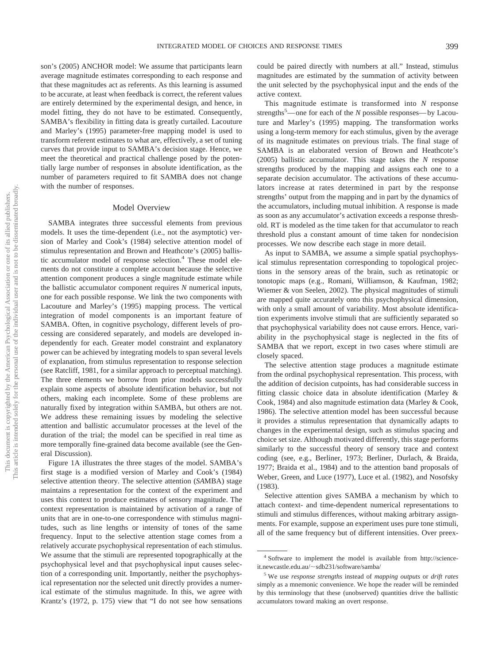son's (2005) ANCHOR model: We assume that participants learn average magnitude estimates corresponding to each response and that these magnitudes act as referents. As this learning is assumed to be accurate, at least when feedback is correct, the referent values are entirely determined by the experimental design, and hence, in model fitting, they do not have to be estimated. Consequently, SAMBA's flexibility in fitting data is greatly curtailed. Lacouture and Marley's (1995) parameter-free mapping model is used to transform referent estimates to what are, effectively, a set of tuning curves that provide input to SAMBA's decision stage. Hence, we meet the theoretical and practical challenge posed by the potentially large number of responses in absolute identification, as the number of parameters required to fit SAMBA does not change with the number of responses.

## Model Overview

SAMBA integrates three successful elements from previous models. It uses the time-dependent (i.e., not the asymptotic) version of Marley and Cook's (1984) selective attention model of stimulus representation and Brown and Heathcote's (2005) ballistic accumulator model of response selection.<sup>4</sup> These model elements do not constitute a complete account because the selective attention component produces a single magnitude estimate while the ballistic accumulator component requires *N* numerical inputs, one for each possible response. We link the two components with Lacouture and Marley's (1995) mapping process. The vertical integration of model components is an important feature of SAMBA. Often, in cognitive psychology, different levels of processing are considered separately, and models are developed independently for each. Greater model constraint and explanatory power can be achieved by integrating models to span several levels of explanation, from stimulus representation to response selection (see Ratcliff, 1981, for a similar approach to perceptual matching). The three elements we borrow from prior models successfully explain some aspects of absolute identification behavior, but not others, making each incomplete. Some of these problems are naturally fixed by integration within SAMBA, but others are not. We address these remaining issues by modeling the selective attention and ballistic accumulator processes at the level of the duration of the trial; the model can be specified in real time as more temporally fine-grained data become available (see the General Discussion).

Figure 1A illustrates the three stages of the model. SAMBA's first stage is a modified version of Marley and Cook's (1984) selective attention theory. The selective attention (*SA*MBA) stage maintains a representation for the context of the experiment and uses this context to produce estimates of sensory magnitude. The context representation is maintained by activation of a range of units that are in one-to-one correspondence with stimulus magnitudes, such as line lengths or intensity of tones of the same frequency. Input to the selective attention stage comes from a relatively accurate psychophysical representation of each stimulus. We assume that the stimuli are represented topographically at the psychophysical level and that psychophysical input causes selection of a corresponding unit. Importantly, neither the psychophysical representation nor the selected unit directly provides a numerical estimate of the stimulus magnitude. In this, we agree with Krantz's (1972, p. 175) view that "I do not see how sensations

could be paired directly with numbers at all." Instead, stimulus magnitudes are estimated by the summation of activity between the unit selected by the psychophysical input and the ends of the active context.

This magnitude estimate is transformed into *N* response strengths<sup>5</sup>—one for each of the *N* possible responses—by Lacouture and Marley's (1995) mapping. The transformation works using a long-term memory for each stimulus, given by the average of its magnitude estimates on previous trials. The final stage of SAMBA is an elaborated version of Brown and Heathcote's (2005) ballistic accumulator. This stage takes the *N* response strengths produced by the mapping and assigns each one to a separate decision accumulator. The activations of these accumulators increase at rates determined in part by the response strengths' output from the mapping and in part by the dynamics of the accumulators, including mutual inhibition. A response is made as soon as any accumulator's activation exceeds a response threshold. RT is modeled as the time taken for that accumulator to reach threshold plus a constant amount of time taken for nondecision processes. We now describe each stage in more detail.

As input to SAMBA, we assume a simple spatial psychophysical stimulus representation corresponding to topological projections in the sensory areas of the brain, such as retinatopic or tonotopic maps (e.g., Romani, Williamson, & Kaufman, 1982; Wiemer & von Seelen, 2002). The physical magnitudes of stimuli are mapped quite accurately onto this psychophysical dimension, with only a small amount of variability. Most absolute identification experiments involve stimuli that are sufficiently separated so that psychophysical variability does not cause errors. Hence, variability in the psychophysical stage is neglected in the fits of SAMBA that we report, except in two cases where stimuli are closely spaced.

The selective attention stage produces a magnitude estimate from the ordinal psychophysical representation. This process, with the addition of decision cutpoints, has had considerable success in fitting classic choice data in absolute identification (Marley & Cook, 1984) and also magnitude estimation data (Marley & Cook, 1986). The selective attention model has been successful because it provides a stimulus representation that dynamically adapts to changes in the experimental design, such as stimulus spacing and choice set size. Although motivated differently, this stage performs similarly to the successful theory of sensory trace and context coding (see, e.g., Berliner, 1973; Berliner, Durlach, & Braida, 1977; Braida et al., 1984) and to the attention band proposals of Weber, Green, and Luce (1977), Luce et al. (1982), and Nosofsky (1983).

Selective attention gives SAMBA a mechanism by which to attach context- and time-dependent numerical representations to stimuli and stimulus differences, without making arbitrary assignments. For example, suppose an experiment uses pure tone stimuli, all of the same frequency but of different intensities. Over preex-

<sup>4</sup> Software to implement the model is available from http://scienceit.newcastle.edu.au/~sdb231/software/samba/

<sup>5</sup> We use *response strengths* instead of *mapping outputs* or *drift rates* simply as a mnemonic convenience. We hope the reader will be reminded by this terminology that these (unobserved) quantities drive the ballistic accumulators toward making an overt response.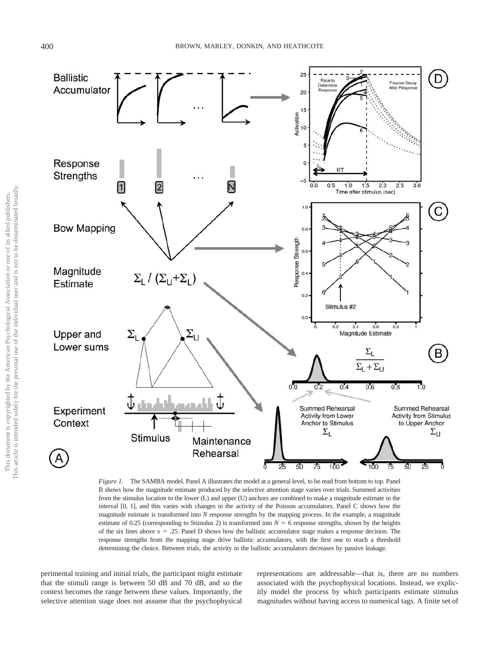

*Figure 1.* The SAMBA model. Panel A illustrates the model at a general level, to be read from bottom to top. Panel B shows how the magnitude estimate produced by the selective attention stage varies over trials. Summed activities from the stimulus location to the lower (L) and upper (U) anchors are combined to make a magnitude estimate in the interval [0, 1], and this varies with changes in the activity of the Poisson accumulators. Panel C shows how the magnitude estimate is transformed into *N* response strengths by the mapping process. In the example, a magnitude estimate of 0.25 (corresponding to Stimulus 2) is transformed into  $N = 6$  response strengths, shown by the heights of the six lines above  $x = .25$ . Panel D shows how the ballistic accumulator stage makes a response decision. The response strengths from the mapping stage drive ballistic accumulators, with the first one to reach a threshold determining the choice. Between trials, the activity in the ballistic accumulators decreases by passive leakage.

perimental training and initial trials, the participant might estimate that the stimuli range is between 50 dB and 70 dB, and so the context becomes the range between these values. Importantly, the selective attention stage does not assume that the psychophysical representations are addressable—that is, there are no numbers associated with the psychophysical locations. Instead, we explicitly model the process by which participants estimate stimulus magnitudes without having access to numerical tags. A finite set of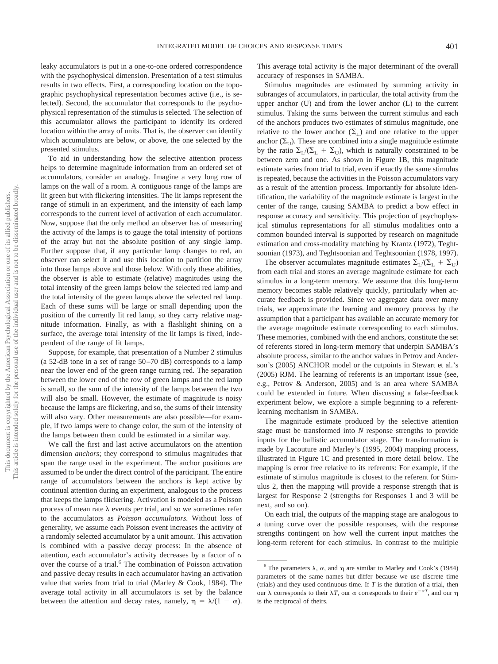leaky accumulators is put in a one-to-one ordered correspondence with the psychophysical dimension. Presentation of a test stimulus results in two effects. First, a corresponding location on the topographic psychophysical representation becomes active (i.e., is selected). Second, the accumulator that corresponds to the psychophysical representation of the stimulus is selected. The selection of this accumulator allows the participant to identify its ordered location within the array of units. That is, the observer can identify which accumulators are below, or above, the one selected by the presented stimulus.

To aid in understanding how the selective attention process helps to determine magnitude information from an ordered set of accumulators, consider an analogy. Imagine a very long row of lamps on the wall of a room. A contiguous range of the lamps are lit green but with flickering intensities. The lit lamps represent the range of stimuli in an experiment, and the intensity of each lamp corresponds to the current level of activation of each accumulator. Now, suppose that the only method an observer has of measuring the activity of the lamps is to gauge the total intensity of portions of the array but not the absolute position of any single lamp. Further suppose that, if any particular lamp changes to red, an observer can select it and use this location to partition the array into those lamps above and those below. With only these abilities, the observer is able to estimate (relative) magnitudes using the total intensity of the green lamps below the selected red lamp and the total intensity of the green lamps above the selected red lamp. Each of these sums will be large or small depending upon the position of the currently lit red lamp, so they carry relative magnitude information. Finally, as with a flashlight shining on a surface, the average total intensity of the lit lamps is fixed, independent of the range of lit lamps.

Suppose, for example, that presentation of a Number 2 stimulus (a 52-dB tone in a set of range 50–70 dB) corresponds to a lamp near the lower end of the green range turning red. The separation between the lower end of the row of green lamps and the red lamp is small, so the sum of the intensity of the lamps between the two will also be small. However, the estimate of magnitude is noisy because the lamps are flickering, and so, the sums of their intensity will also vary. Other measurements are also possible—for example, if two lamps were to change color, the sum of the intensity of the lamps between them could be estimated in a similar way.

We call the first and last active accumulators on the attention dimension *anchors*; they correspond to stimulus magnitudes that span the range used in the experiment. The anchor positions are assumed to be under the direct control of the participant. The entire range of accumulators between the anchors is kept active by continual attention during an experiment, analogous to the process that keeps the lamps flickering. Activation is modeled as a Poisson process of mean rate  $\lambda$  events per trial, and so we sometimes refer to the accumulators as *Poisson accumulators.* Without loss of generality, we assume each Poisson event increases the activity of a randomly selected accumulator by a unit amount. This activation is combined with a passive decay process: In the absence of attention, each accumulator's activity decreases by a factor of  $\alpha$ over the course of a trial.<sup>6</sup> The combination of Poisson activation and passive decay results in each accumulator having an activation value that varies from trial to trial (Marley & Cook, 1984). The average total activity in all accumulators is set by the balance between the attention and decay rates, namely,  $\eta = \lambda/(1 - \alpha)$ .

This average total activity is the major determinant of the overall accuracy of responses in SAMBA.

Stimulus magnitudes are estimated by summing activity in subranges of accumulators, in particular, the total activity from the upper anchor (U) and from the lower anchor (L) to the current stimulus. Taking the sums between the current stimulus and each of the anchors produces two estimates of stimulus magnitude, one relative to the lower anchor  $(\Sigma_L)$  and one relative to the upper anchor  $(\Sigma_{\text{U}})$ . These are combined into a single magnitude estimate by the ratio  $\Sigma_{\text{L}}/(\Sigma_{\text{L}} + \Sigma_{\text{U}})$ , which is naturally constrained to be between zero and one. As shown in Figure 1B, this magnitude estimate varies from trial to trial, even if exactly the same stimulus is repeated, because the activities in the Poisson accumulators vary as a result of the attention process. Importantly for absolute identification, the variability of the magnitude estimate is largest in the center of the range, causing SAMBA to predict a bow effect in response accuracy and sensitivity. This projection of psychophysical stimulus representations for all stimulus modalities onto a common bounded interval is supported by research on magnitude estimation and cross-modality matching by Krantz (1972), Teghtsoonian (1973), and Teghtsoonian and Teghtsoonian (1978, 1997).

The observer accumulates magnitude estimates  $\Sigma_{\rm L}/(\Sigma_{\rm L} + \Sigma_{\rm U})$ from each trial and stores an average magnitude estimate for each stimulus in a long-term memory. We assume that this long-term memory becomes stable relatively quickly, particularly when accurate feedback is provided. Since we aggregate data over many trials, we approximate the learning and memory process by the assumption that a participant has available an accurate memory for the average magnitude estimate corresponding to each stimulus. These memories, combined with the end anchors, constitute the set of referents stored in long-term memory that underpin SAMBA's absolute process, similar to the anchor values in Petrov and Anderson's (2005) ANCHOR model or the cutpoints in Stewart et al.'s (2005) RJM. The learning of referents is an important issue (see, e.g., Petrov & Anderson, 2005) and is an area where SAMBA could be extended in future. When discussing a false-feedback experiment below, we explore a simple beginning to a referentlearning mechanism in SAMBA.

The magnitude estimate produced by the selective attention stage must be transformed into *N* response strengths to provide inputs for the ballistic accumulator stage. The transformation is made by Lacouture and Marley's (1995, 2004) mapping process, illustrated in Figure 1C and presented in more detail below. The mapping is error free relative to its referents: For example, if the estimate of stimulus magnitude is closest to the referent for Stimulus 2, then the mapping will provide a response strength that is largest for Response 2 (strengths for Responses 1 and 3 will be next, and so on).

On each trial, the outputs of the mapping stage are analogous to a tuning curve over the possible responses, with the response strengths contingent on how well the current input matches the long-term referent for each stimulus. In contrast to the multiple

<sup>&</sup>lt;sup>6</sup> The parameters  $\lambda$ ,  $\alpha$ , and  $\eta$  are similar to Marley and Cook's (1984) parameters of the same names but differ because we use discrete time (trials) and they used continuous time. If *T* is the duration of a trial, then our λ corresponds to their λT, our α corresponds to their  $e^{-\alpha T}$ , and our η is the reciprocal of theirs.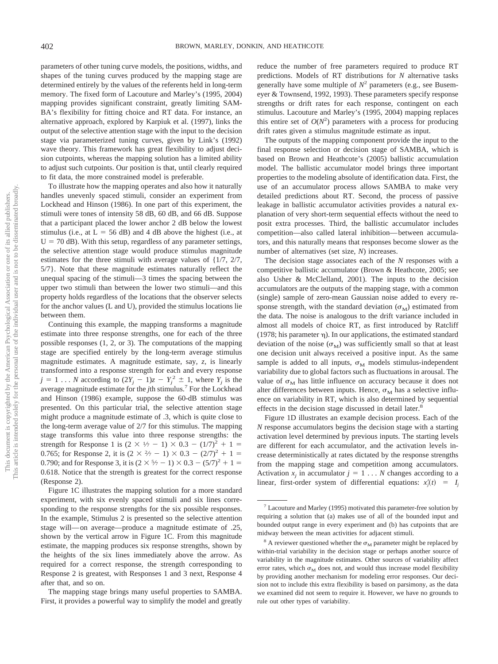parameters of other tuning curve models, the positions, widths, and shapes of the tuning curves produced by the mapping stage are determined entirely by the values of the referents held in long-term memory. The fixed form of Lacouture and Marley's (1995, 2004) mapping provides significant constraint, greatly limiting SAM-BA's flexibility for fitting choice and RT data. For instance, an alternative approach, explored by Karpiuk et al. (1997), links the output of the selective attention stage with the input to the decision stage via parameterized tuning curves, given by Link's (1992) wave theory. This framework has great flexibility to adjust decision cutpoints, whereas the mapping solution has a limited ability to adjust such cutpoints. Our position is that, until clearly required to fit data, the more constrained model is preferable.

To illustrate how the mapping operates and also how it naturally handles unevenly spaced stimuli, consider an experiment from Lockhead and Hinson (1986). In one part of this experiment, the stimuli were tones of intensity 58 dB, 60 dB, and 66 dB. Suppose that a participant placed the lower anchor 2 dB below the lowest stimulus (i.e., at  $L = 56$  dB) and 4 dB above the highest (i.e., at  $U = 70$  dB). With this setup, regardless of any parameter settings, the selective attention stage would produce stimulus magnitude estimates for the three stimuli with average values of {1/7, 2/7, 5/7}. Note that these magnitude estimates naturally reflect the unequal spacing of the stimuli—3 times the spacing between the upper two stimuli than between the lower two stimuli—and this property holds regardless of the locations that the observer selects for the anchor values (L and U), provided the stimulus locations lie between them.

Continuing this example, the mapping transforms a magnitude estimate into three response strengths, one for each of the three possible responses (1, 2, or 3). The computations of the mapping stage are specified entirely by the long-term average stimulus magnitude estimates. A magnitude estimate, say, *z,* is linearly transformed into a response strength for each and every response  $j = 1 \ldots N$  according to  $(2Y_j - 1)z - Y_j^2 \pm 1$ , where  $Y_j$  is the average magnitude estimate for the *j*th stimulus.7 For the Lockhead and Hinson (1986) example, suppose the 60-dB stimulus was presented. On this particular trial, the selective attention stage might produce a magnitude estimate of .3, which is quite close to the long-term average value of 2/7 for this stimulus. The mapping stage transforms this value into three response strengths: the strength for Response 1 is  $(2 \times \frac{1}{7} - 1) \times 0.3 - (1/7)^2 + 1 =$ 0.765; for Response 2, it is  $(2 \times \frac{2}{7} - 1) \times 0.3 - (2/7)^2 + 1 =$ 0.790; and for Response 3, it is  $(2 \times \frac{5}{7} - 1) \times 0.3 - (5/7)^2 + 1 =$ 0.618. Notice that the strength is greatest for the correct response (Response 2).

Figure 1C illustrates the mapping solution for a more standard experiment, with six evenly spaced stimuli and six lines corresponding to the response strengths for the six possible responses. In the example, Stimulus 2 is presented so the selective attention stage will—on average—produce a magnitude estimate of .25, shown by the vertical arrow in Figure 1C. From this magnitude estimate, the mapping produces six response strengths, shown by the heights of the six lines immediately above the arrow. As required for a correct response, the strength corresponding to Response 2 is greatest, with Responses 1 and 3 next, Response 4 after that, and so on.

The mapping stage brings many useful properties to SAMBA. First, it provides a powerful way to simplify the model and greatly reduce the number of free parameters required to produce RT predictions. Models of RT distributions for *N* alternative tasks generally have some multiple of  $N^2$  parameters (e.g., see Busemeyer & Townsend, 1992, 1993). These parameters specify response strengths or drift rates for each response, contingent on each stimulus. Lacouture and Marley's (1995, 2004) mapping replaces this entire set of  $O(N^2)$  parameters with a process for producing drift rates given a stimulus magnitude estimate as input.

The outputs of the mapping component provide the input to the final response selection or decision stage of SAMBA, which is based on Brown and Heathcote's (2005) ballistic accumulation model. The ballistic accumulator model brings three important properties to the modeling absolute of identification data. First, the use of an accumulator process allows SAMBA to make very detailed predictions about RT. Second, the process of passive leakage in ballistic accumulator activities provides a natural explanation of very short-term sequential effects without the need to posit extra processes. Third, the ballistic accumulator includes competition—also called lateral inhibition—between accumulators, and this naturally means that responses become slower as the number of alternatives (set size, *N*) increases.

The decision stage associates each of the *N* responses with a competitive ballistic accumulator (Brown & Heathcote, 2005; see also Usher & McClelland, 2001). The inputs to the decision accumulators are the outputs of the mapping stage, with a common (single) sample of zero-mean Gaussian noise added to every response strength, with the standard deviation  $(\sigma_M)$  estimated from the data. The noise is analogous to the drift variance included in almost all models of choice RT, as first introduced by Ratcliff (1978; his parameter  $\eta$ ). In our applications, the estimated standard deviation of the noise  $(\sigma_M)$  was sufficiently small so that at least one decision unit always received a positive input. As the same sample is added to all inputs,  $\sigma<sub>M</sub>$  models stimulus-independent variability due to global factors such as fluctuations in arousal. The value of  $\sigma_M$  has little influence on accuracy because it does not alter differences between inputs. Hence,  $\sigma_M$  has a selective influence on variability in RT, which is also determined by sequential effects in the decision stage discussed in detail later.<sup>8</sup>

Figure 1D illustrates an example decision process. Each of the *N* response accumulators begins the decision stage with a starting activation level determined by previous inputs. The starting levels are different for each accumulator, and the activation levels increase deterministically at rates dictated by the response strengths from the mapping stage and competition among accumulators. Activation  $x_i$  in accumulator  $j = 1 \ldots N$  changes according to a linear, first-order system of differential equations:  $x_j'(t) = I_j$ 

<sup>7</sup> Lacouture and Marley (1995) motivated this parameter-free solution by requiring a solution that (a) makes use of all of the bounded input and bounded output range in every experiment and (b) has cutpoints that are midway between the mean activities for adjacent stimuli.

 $8$  A reviewer questioned whether the  $\sigma_M$  parameter might be replaced by within-trial variability in the decision stage or perhaps another source of variability in the magnitude estimates. Other sources of variability affect error rates, which  $\sigma_M$  does not, and would thus increase model flexibility by providing another mechanism for modeling error responses. Our decision not to include this extra flexibility is based on parsimony, as the data we examined did not seem to require it. However, we have no grounds to rule out other types of variability.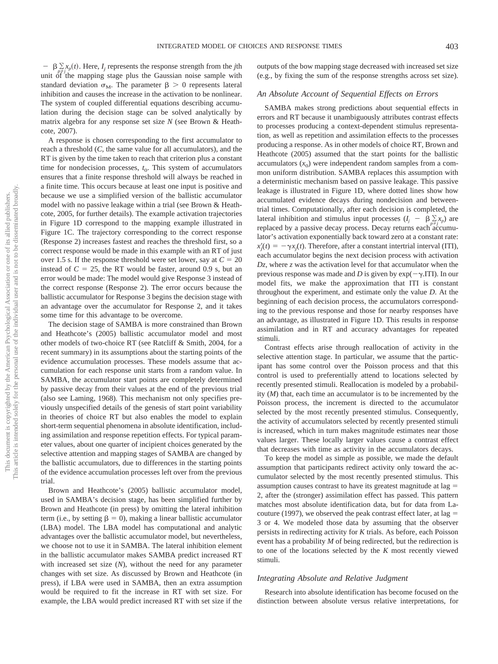$- \beta \sum_{n \neq i} x_p(t)$ . Here, *I<sub>j</sub>* represents the response strength from the *j*th unit of the mapping stage plus the Gaussian noise sample with standard deviation  $\sigma_M$ . The parameter  $\beta > 0$  represents lateral inhibition and causes the increase in the activation to be nonlinear. The system of coupled differential equations describing accumulation during the decision stage can be solved analytically by matrix algebra for any response set size *N* (see Brown & Heathcote, 2007).

A response is chosen corresponding to the first accumulator to reach a threshold (*C,* the same value for all accumulators), and the RT is given by the time taken to reach that criterion plus a constant time for nondecision processes,  $t_0$ . This system of accumulators ensures that a finite response threshold will always be reached in a finite time. This occurs because at least one input is positive and because we use a simplified version of the ballistic accumulator model with no passive leakage within a trial (see Brown & Heathcote, 2005, for further details). The example activation trajectories in Figure 1D correspond to the mapping example illustrated in Figure 1C. The trajectory corresponding to the correct response (Response 2) increases fastest and reaches the threshold first, so a correct response would be made in this example with an RT of just over 1.5 s. If the response threshold were set lower, say at  $C = 20$ instead of  $C = 25$ , the RT would be faster, around 0.9 s, but an error would be made: The model would give Response 3 instead of the correct response (Response 2). The error occurs because the ballistic accumulator for Response 3 begins the decision stage with an advantage over the accumulator for Response 2, and it takes some time for this advantage to be overcome.

The decision stage of SAMBA is more constrained than Brown and Heathcote's (2005) ballistic accumulator model and most other models of two-choice RT (see Ratcliff & Smith, 2004, for a recent summary) in its assumptions about the starting points of the evidence accumulation processes. These models assume that accumulation for each response unit starts from a random value. In SAMBA, the accumulator start points are completely determined by passive decay from their values at the end of the previous trial (also see Laming, 1968). This mechanism not only specifies previously unspecified details of the genesis of start point variability in theories of choice RT but also enables the model to explain short-term sequential phenomena in absolute identification, including assimilation and response repetition effects. For typical parameter values, about one quarter of incipient choices generated by the selective attention and mapping stages of SAMBA are changed by the ballistic accumulators, due to differences in the starting points of the evidence accumulation processes left over from the previous trial.

Brown and Heathcote's (2005) ballistic accumulator model, used in SAMBA's decision stage, has been simplified further by Brown and Heathcote (in press) by omitting the lateral inhibition term (i.e., by setting  $\beta = 0$ ), making a linear ballistic accumulator (LBA) model. The LBA model has computational and analytic advantages over the ballistic accumulator model, but nevertheless, we choose not to use it in SAMBA. The lateral inhibition element in the ballistic accumulator makes SAMBA predict increased RT with increased set size (*N*), without the need for any parameter changes with set size. As discussed by Brown and Heathcote (in press), if LBA were used in SAMBA, then an extra assumption would be required to fit the increase in RT with set size. For example, the LBA would predict increased RT with set size if the outputs of the bow mapping stage decreased with increased set size (e.g., by fixing the sum of the response strengths across set size).

#### *An Absolute Account of Sequential Effects on Errors*

SAMBA makes strong predictions about sequential effects in errors and RT because it unambiguously attributes contrast effects to processes producing a context-dependent stimulus representation, as well as repetition and assimilation effects to the processes producing a response. As in other models of choice RT, Brown and Heathcote (2005) assumed that the start points for the ballistic accumulators  $(x_0)$  were independent random samples from a common uniform distribution. SAMBA replaces this assumption with a deterministic mechanism based on passive leakage. This passive leakage is illustrated in Figure 1D, where dotted lines show how accumulated evidence decays during nondecision and betweentrial times. Computationally, after each decision is completed, the lateral inhibition and stimulus input processes  $(I_j - \beta \sum x_i)$  are replaced by a passive decay process. Decay returns each accumulator's activation exponentially back toward zero at a constant rate:  $x'_j(t) = -\gamma x_j(t)$ . Therefore, after a constant intertrial interval (ITI), each accumulator begins the next decision process with activation *Dz,* where *z* was the activation level for that accumulator when the previous response was made and *D* is given by  $exp(-\gamma ITI)$ . In our model fits, we make the approximation that ITI is constant throughout the experiment, and estimate only the value *D*. At the beginning of each decision process, the accumulators corresponding to the previous response and those for nearby responses have an advantage, as illustrated in Figure 1D. This results in response assimilation and in RT and accuracy advantages for repeated stimuli.

Contrast effects arise through reallocation of activity in the selective attention stage. In particular, we assume that the participant has some control over the Poisson process and that this control is used to preferentially attend to locations selected by recently presented stimuli. Reallocation is modeled by a probability (*M*) that, each time an accumulator is to be incremented by the Poisson process, the increment is directed to the accumulator selected by the most recently presented stimulus. Consequently, the activity of accumulators selected by recently presented stimuli is increased, which in turn makes magnitude estimates near those values larger. These locally larger values cause a contrast effect that decreases with time as activity in the accumulators decays.

To keep the model as simple as possible, we made the default assumption that participants redirect activity only toward the accumulator selected by the most recently presented stimulus. This assumption causes contrast to have its greatest magnitude at lag 2, after the (stronger) assimilation effect has passed. This pattern matches most absolute identification data, but for data from Lacouture (1997), we observed the peak contrast effect later, at  $\log$  = 3 or 4. We modeled those data by assuming that the observer persists in redirecting activity for *K* trials. As before, each Poisson event has a probability *M* of being redirected, but the redirection is to one of the locations selected by the *K* most recently viewed stimuli.

#### *Integrating Absolute and Relative Judgment*

Research into absolute identification has become focused on the distinction between absolute versus relative interpretations, for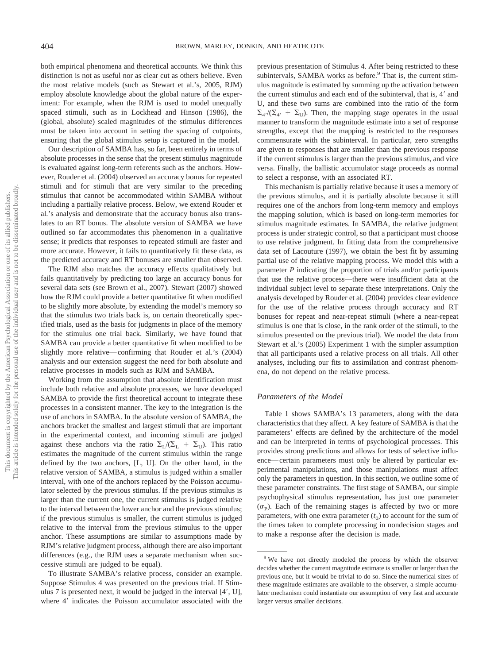both empirical phenomena and theoretical accounts. We think this distinction is not as useful nor as clear cut as others believe. Even the most relative models (such as Stewart et al.'s, 2005, RJM) employ absolute knowledge about the global nature of the experiment: For example, when the RJM is used to model unequally spaced stimuli, such as in Lockhead and Hinson (1986), the (global, absolute) scaled magnitudes of the stimulus differences must be taken into account in setting the spacing of cutpoints, ensuring that the global stimulus setup is captured in the model.

Our description of SAMBA has, so far, been entirely in terms of absolute processes in the sense that the present stimulus magnitude is evaluated against long-term referents such as the anchors. However, Rouder et al. (2004) observed an accuracy bonus for repeated stimuli and for stimuli that are very similar to the preceding stimulus that cannot be accommodated within SAMBA without including a partially relative process. Below, we extend Rouder et al.'s analysis and demonstrate that the accuracy bonus also translates to an RT bonus. The absolute version of SAMBA we have outlined so far accommodates this phenomenon in a qualitative sense; it predicts that responses to repeated stimuli are faster and more accurate. However, it fails to quantitatively fit these data, as the predicted accuracy and RT bonuses are smaller than observed.

The RJM also matches the accuracy effects qualitatively but fails quantitatively by predicting too large an accuracy bonus for several data sets (see Brown et al., 2007). Stewart (2007) showed how the RJM could provide a better quantitative fit when modified to be slightly more absolute, by extending the model's memory so that the stimulus two trials back is, on certain theoretically specified trials, used as the basis for judgments in place of the memory for the stimulus one trial back. Similarly, we have found that SAMBA can provide a better quantitative fit when modified to be slightly more relative—confirming that Rouder et al.'s (2004) analysis and our extension suggest the need for both absolute and relative processes in models such as RJM and SAMBA.

Working from the assumption that absolute identification must include both relative and absolute processes, we have developed SAMBA to provide the first theoretical account to integrate these processes in a consistent manner. The key to the integration is the use of anchors in SAMBA. In the absolute version of SAMBA, the anchors bracket the smallest and largest stimuli that are important in the experimental context, and incoming stimuli are judged against these anchors via the ratio  $\Sigma_{\text{L}}/(\Sigma_{\text{L}} + \Sigma_{\text{L}})$ . This ratio estimates the magnitude of the current stimulus within the range defined by the two anchors, [L, U]. On the other hand, in the relative version of SAMBA, a stimulus is judged within a smaller interval, with one of the anchors replaced by the Poisson accumulator selected by the previous stimulus. If the previous stimulus is larger than the current one, the current stimulus is judged relative to the interval between the lower anchor and the previous stimulus; if the previous stimulus is smaller, the current stimulus is judged relative to the interval from the previous stimulus to the upper anchor. These assumptions are similar to assumptions made by RJM's relative judgment process, although there are also important differences (e.g., the RJM uses a separate mechanism when successive stimuli are judged to be equal).

To illustrate SAMBA's relative process, consider an example. Suppose Stimulus 4 was presented on the previous trial. If Stimulus 7 is presented next, it would be judged in the interval [4, U], where 4' indicates the Poisson accumulator associated with the previous presentation of Stimulus 4. After being restricted to these subintervals, SAMBA works as before.<sup>9</sup> That is, the current stimulus magnitude is estimated by summing up the activation between the current stimulus and each end of the subinterval, that is, 4' and U, and these two sums are combined into the ratio of the form  $\Sigma_{4}/(\Sigma_{4'} + \Sigma_{U})$ . Then, the mapping stage operates in the usual manner to transform the magnitude estimate into a set of response strengths, except that the mapping is restricted to the responses commensurate with the subinterval. In particular, zero strengths are given to responses that are smaller than the previous response if the current stimulus is larger than the previous stimulus, and vice versa. Finally, the ballistic accumulator stage proceeds as normal to select a response, with an associated RT.

This mechanism is partially relative because it uses a memory of the previous stimulus, and it is partially absolute because it still requires one of the anchors from long-term memory and employs the mapping solution, which is based on long-term memories for stimulus magnitude estimates. In SAMBA, the relative judgment process is under strategic control, so that a participant must choose to use relative judgment. In fitting data from the comprehensive data set of Lacouture (1997), we obtain the best fit by assuming partial use of the relative mapping process. We model this with a parameter *P* indicating the proportion of trials and/or participants that use the relative process—there were insufficient data at the individual subject level to separate these interpretations. Only the analysis developed by Rouder et al. (2004) provides clear evidence for the use of the relative process through accuracy and RT bonuses for repeat and near-repeat stimuli (where a near-repeat stimulus is one that is close, in the rank order of the stimuli, to the stimulus presented on the previous trial). We model the data from Stewart et al.'s (2005) Experiment 1 with the simpler assumption that all participants used a relative process on all trials. All other analyses, including our fits to assimilation and contrast phenomena, do not depend on the relative process.

#### *Parameters of the Model*

Table 1 shows SAMBA's 13 parameters, along with the data characteristics that they affect. A key feature of SAMBA is that the parameters' effects are defined by the architecture of the model and can be interpreted in terms of psychological processes. This provides strong predictions and allows for tests of selective influence—certain parameters must only be altered by particular experimental manipulations, and those manipulations must affect only the parameters in question. In this section, we outline some of these parameter constraints. The first stage of SAMBA, our simple psychophysical stimulus representation, has just one parameter  $(\sigma_{\rm p})$ . Each of the remaining stages is affected by two or more parameters, with one extra parameter  $(t_0)$  to account for the sum of the times taken to complete processing in nondecision stages and to make a response after the decision is made.

<sup>&</sup>lt;sup>9</sup> We have not directly modeled the process by which the observer decides whether the current magnitude estimate is smaller or larger than the previous one, but it would be trivial to do so. Since the numerical sizes of these magnitude estimates are available to the observer, a simple accumulator mechanism could instantiate our assumption of very fast and accurate larger versus smaller decisions.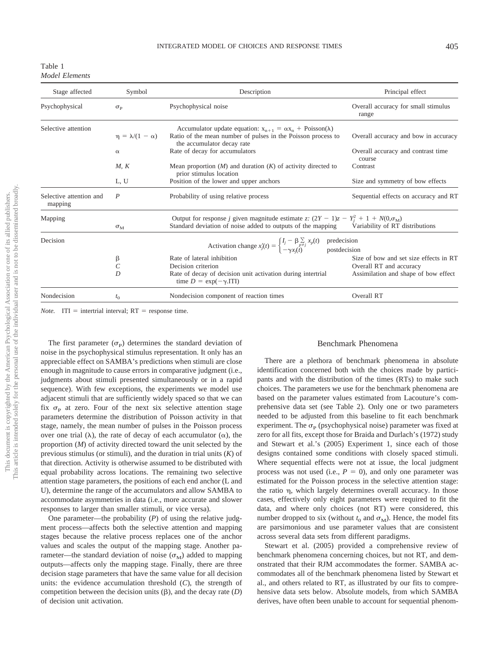Table 1 *Model Elements*

| Stage affected                     | Symbol                                          | Description                                                                                                                                                                               | Principal effect                             |  |  |  |
|------------------------------------|-------------------------------------------------|-------------------------------------------------------------------------------------------------------------------------------------------------------------------------------------------|----------------------------------------------|--|--|--|
| Psychophysical                     | $\sigma_{\rm p}$                                | Overall accuracy for small stimulus<br>range                                                                                                                                              |                                              |  |  |  |
| Selective attention                | $\eta = \lambda/(1 - \alpha)$                   | Accumulator update equation: $x_{n+1} = \alpha x_n + \text{Poisson}(\lambda)$<br>Ratio of the mean number of pulses in the Poisson process to<br>the accumulator decay rate               | Overall accuracy and bow in accuracy         |  |  |  |
|                                    | $\alpha$                                        | Rate of decay for accumulators                                                                                                                                                            | Overall accuracy and contrast time<br>course |  |  |  |
|                                    | M, K                                            | Mean proportion $(M)$ and duration $(K)$ of activity directed to<br>prior stimulus location                                                                                               | Contrast                                     |  |  |  |
|                                    | L, U<br>Position of the lower and upper anchors |                                                                                                                                                                                           | Size and symmetry of bow effects             |  |  |  |
| Selective attention and<br>mapping | P                                               | Probability of using relative process                                                                                                                                                     | Sequential effects on accuracy and RT        |  |  |  |
| Mapping                            | $\sigma_{\rm M}$                                | Output for response j given magnitude estimate z: $(2Y - 1)z - Y_i^2 + 1 + N(0, \sigma_M)$<br>Standard deviation of noise added to outputs of the mapping Variability of RT distributions |                                              |  |  |  |
| Decision                           |                                                 | predecision<br>Activation change $x'_j(t) = \begin{cases} I_j - \beta \sum_{p \neq j} x_p(t) \\ -\gamma x_i(t) \end{cases}$<br>postdecision                                               |                                              |  |  |  |
|                                    | β                                               | Rate of lateral inhibition                                                                                                                                                                | Size of bow and set size effects in RT       |  |  |  |
|                                    | $\mathcal{C}$                                   | Decision criterion                                                                                                                                                                        | Overall RT and accuracy                      |  |  |  |
|                                    | D                                               | Rate of decay of decision unit activation during intertrial<br>time $D = \exp(-\gamma \cdot \text{ITI})$                                                                                  | Assimilation and shape of bow effect         |  |  |  |
| Nondecision                        | $t_{0}$                                         | Nondecision component of reaction times                                                                                                                                                   | Overall RT                                   |  |  |  |

*Note.* ITI = intertrial interval;  $RT$  = response time.

The first parameter  $(\sigma_{\rm p})$  determines the standard deviation of noise in the psychophysical stimulus representation. It only has an appreciable effect on SAMBA's predictions when stimuli are close enough in magnitude to cause errors in comparative judgment (i.e., judgments about stimuli presented simultaneously or in a rapid sequence). With few exceptions, the experiments we model use adjacent stimuli that are sufficiently widely spaced so that we can fix  $\sigma_{\rm P}$  at zero. Four of the next six selective attention stage parameters determine the distribution of Poisson activity in that stage, namely, the mean number of pulses in the Poisson process over one trial ( $\lambda$ ), the rate of decay of each accumulator ( $\alpha$ ), the proportion (*M*) of activity directed toward the unit selected by the previous stimulus (or stimuli), and the duration in trial units (*K*) of that direction. Activity is otherwise assumed to be distributed with equal probability across locations. The remaining two selective attention stage parameters, the positions of each end anchor (L and U), determine the range of the accumulators and allow SAMBA to accommodate asymmetries in data (i.e., more accurate and slower responses to larger than smaller stimuli, or vice versa).

One parameter—the probability (*P*) of using the relative judgment process—affects both the selective attention and mapping stages because the relative process replaces one of the anchor values and scales the output of the mapping stage. Another parameter—the standard deviation of noise ( $\sigma_{\rm M}$ ) added to mapping outputs—affects only the mapping stage. Finally, there are three decision stage parameters that have the same value for all decision units: the evidence accumulation threshold (*C*), the strength of competition between the decision units  $(\beta)$ , and the decay rate  $(D)$ of decision unit activation.

## Benchmark Phenomena

There are a plethora of benchmark phenomena in absolute identification concerned both with the choices made by participants and with the distribution of the times (RTs) to make such choices. The parameters we use for the benchmark phenomena are based on the parameter values estimated from Lacouture's comprehensive data set (see Table 2). Only one or two parameters needed to be adjusted from this baseline to fit each benchmark experiment. The  $\sigma_{\rm p}$  (psychophysical noise) parameter was fixed at zero for all fits, except those for Braida and Durlach's (1972) study and Stewart et al.'s (2005) Experiment 1, since each of those designs contained some conditions with closely spaced stimuli. Where sequential effects were not at issue, the local judgment process was not used (i.e.,  $P = 0$ ), and only one parameter was estimated for the Poisson process in the selective attention stage: the ratio  $\eta$ , which largely determines overall accuracy. In those cases, effectively only eight parameters were required to fit the data, and where only choices (not RT) were considered, this number dropped to six (without  $t_0$  and  $\sigma_M$ ). Hence, the model fits are parsimonious and use parameter values that are consistent across several data sets from different paradigms.

Stewart et al. (2005) provided a comprehensive review of benchmark phenomena concerning choices, but not RT, and demonstrated that their RJM accommodates the former. SAMBA accommodates all of the benchmark phenomena listed by Stewart et al., and others related to RT, as illustrated by our fits to comprehensive data sets below. Absolute models, from which SAMBA derives, have often been unable to account for sequential phenom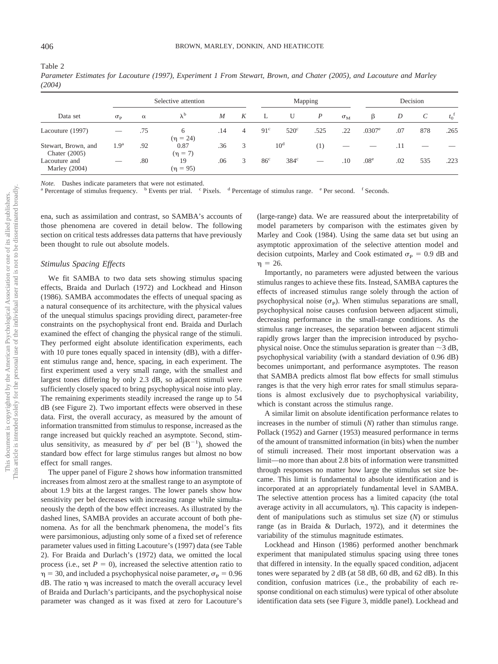Table 2

|        | Parameter Estimates for Lacouture (1997), Experiment 1 From Stewart, Brown, and Chater (2005), and Lacouture and Marley |  |  |  |  |  |  |  |
|--------|-------------------------------------------------------------------------------------------------------------------------|--|--|--|--|--|--|--|
| (2004) |                                                                                                                         |  |  |  |  |  |  |  |

|                                        |                  | Selective attention |                      |     |   |                 | Mapping         |                                |                  |                  | Decision |     |                    |  |
|----------------------------------------|------------------|---------------------|----------------------|-----|---|-----------------|-----------------|--------------------------------|------------------|------------------|----------|-----|--------------------|--|
| Data set                               | $\sigma_{\rm p}$ | $\alpha$            | $\lambda^{\rm b}$    | M   | K | L               | U               | $\boldsymbol{P}$               | $\sigma_{\rm M}$ | β                | D        | C   | $t_0$ <sup>f</sup> |  |
| Lacouture (1997)                       |                  | .75                 | 6<br>$(\eta = 24)$   | .14 | 4 | $91^{\circ}$    | $520^\circ$     | .525                           | .22              | $.0307^{\circ}$  | .07      | 878 | .265               |  |
| Stewart, Brown, and<br>Chater $(2005)$ | 1.9 <sup>a</sup> | .92                 | 0.87<br>$(\eta = 7)$ | .36 | 3 |                 | 10 <sup>d</sup> | (1)                            |                  |                  | .11      |     |                    |  |
| Lacouture and<br>Marley $(2004)$       |                  | .80                 | 19<br>$(\eta = 95)$  | .06 | 3 | 86 <sup>c</sup> | $384^\circ$     | $\overbrace{\hspace{25mm}}^{}$ | .10              | .08 <sup>e</sup> | .02      | 535 | .223               |  |

*Note.* Dashes indicate parameters that were not estimated.<br><sup>a</sup> Percentage of stimulus frequency. <sup>b</sup> Events per trial. <sup>c</sup> Pixels. <sup>d</sup> Percentage of stimulus range. <sup>e</sup> Per second. <sup>f</sup> Seconds.

ena, such as assimilation and contrast, so SAMBA's accounts of those phenomena are covered in detail below. The following section on critical tests addresses data patterns that have previously been thought to rule out absolute models.

## *Stimulus Spacing Effects*

We fit SAMBA to two data sets showing stimulus spacing effects, Braida and Durlach (1972) and Lockhead and Hinson (1986). SAMBA accommodates the effects of unequal spacing as a natural consequence of its architecture, with the physical values of the unequal stimulus spacings providing direct, parameter-free constraints on the psychophysical front end. Braida and Durlach examined the effect of changing the physical range of the stimuli. They performed eight absolute identification experiments, each with 10 pure tones equally spaced in intensity (dB), with a different stimulus range and, hence, spacing, in each experiment. The first experiment used a very small range, with the smallest and largest tones differing by only 2.3 dB, so adjacent stimuli were sufficiently closely spaced to bring psychophysical noise into play. The remaining experiments steadily increased the range up to 54 dB (see Figure 2). Two important effects were observed in these data. First, the overall accuracy, as measured by the amount of information transmitted from stimulus to response, increased as the range increased but quickly reached an asymptote. Second, stimulus sensitivity, as measured by  $d'$  per bel  $(B^{-1})$ , showed the standard bow effect for large stimulus ranges but almost no bow effect for small ranges.

The upper panel of Figure 2 shows how information transmitted increases from almost zero at the smallest range to an asymptote of about 1.9 bits at the largest ranges. The lower panels show how sensitivity per bel decreases with increasing range while simultaneously the depth of the bow effect increases. As illustrated by the dashed lines, SAMBA provides an accurate account of both phenomena. As for all the benchmark phenomena, the model's fits were parsimonious, adjusting only some of a fixed set of reference parameter values used in fitting Lacouture's (1997) data (see Table 2). For Braida and Durlach's (1972) data, we omitted the local process (i.e., set  $P = 0$ ), increased the selective attention ratio to  $\eta$  = 30, and included a psychophysical noise parameter,  $\sigma_{\rm P}$  = 0.96  $dB$ . The ratio  $\eta$  was increased to match the overall accuracy level of Braida and Durlach's participants, and the psychophysical noise parameter was changed as it was fixed at zero for Lacouture's

(large-range) data. We are reassured about the interpretability of model parameters by comparison with the estimates given by Marley and Cook (1984). Using the same data set but using an asymptotic approximation of the selective attention model and decision cutpoints, Marley and Cook estimated  $\sigma_{\rm P} = 0.9$  dB and  $\eta = 26.$ 

Importantly, no parameters were adjusted between the various stimulus ranges to achieve these fits. Instead, SAMBA captures the effects of increased stimulus range solely through the action of psychophysical noise  $(\sigma_{\rm P})$ . When stimulus separations are small, psychophysical noise causes confusion between adjacent stimuli, decreasing performance in the small-range conditions. As the stimulus range increases, the separation between adjacent stimuli rapidly grows larger than the imprecision introduced by psychophysical noise. Once the stimulus separation is greater than  $\sim$  3 dB, psychophysical variability (with a standard deviation of 0.96 dB) becomes unimportant, and performance asymptotes. The reason that SAMBA predicts almost flat bow effects for small stimulus ranges is that the very high error rates for small stimulus separations is almost exclusively due to psychophysical variability, which is constant across the stimulus range.

A similar limit on absolute identification performance relates to increases in the number of stimuli (*N*) rather than stimulus range. Pollack (1952) and Garner (1953) measured performance in terms of the amount of transmitted information (in bits) when the number of stimuli increased. Their most important observation was a limit—no more than about 2.8 bits of information were transmitted through responses no matter how large the stimulus set size became. This limit is fundamental to absolute identification and is incorporated at an appropriately fundamental level in SAMBA. The selective attention process has a limited capacity (the total average activity in all accumulators,  $\eta$ ). This capacity is independent of manipulations such as stimulus set size (*N*) or stimulus range (as in Braida & Durlach, 1972), and it determines the variability of the stimulus magnitude estimates.

Lockhead and Hinson (1986) performed another benchmark experiment that manipulated stimulus spacing using three tones that differed in intensity. In the equally spaced condition, adjacent tones were separated by 2 dB (at 58 dB, 60 dB, and 62 dB). In this condition, confusion matrices (i.e., the probability of each response conditional on each stimulus) were typical of other absolute identification data sets (see Figure 3, middle panel). Lockhead and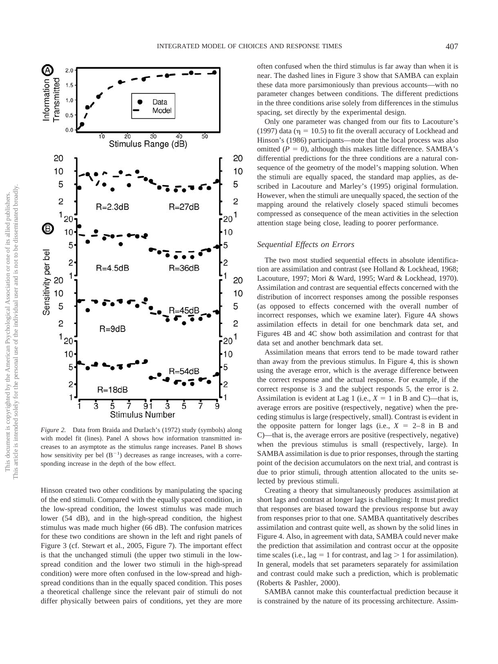

*Figure 2.* Data from Braida and Durlach's (1972) study (symbols) along with model fit (lines). Panel A shows how information transmitted increases to an asymptote as the stimulus range increases. Panel B shows how sensitivity per bel  $(B^{-1})$  decreases as range increases, with a corresponding increase in the depth of the bow effect.

Hinson created two other conditions by manipulating the spacing of the end stimuli. Compared with the equally spaced condition, in the low-spread condition, the lowest stimulus was made much lower (54 dB), and in the high-spread condition, the highest stimulus was made much higher (66 dB). The confusion matrices for these two conditions are shown in the left and right panels of Figure 3 (cf. Stewart et al., 2005, Figure 7). The important effect is that the unchanged stimuli (the upper two stimuli in the lowspread condition and the lower two stimuli in the high-spread condition) were more often confused in the low-spread and highspread conditions than in the equally spaced condition. This poses a theoretical challenge since the relevant pair of stimuli do not differ physically between pairs of conditions, yet they are more often confused when the third stimulus is far away than when it is near. The dashed lines in Figure 3 show that SAMBA can explain these data more parsimoniously than previous accounts—with no parameter changes between conditions. The different predictions in the three conditions arise solely from differences in the stimulus spacing, set directly by the experimental design.

Only one parameter was changed from our fits to Lacouture's (1997) data ( $\eta = 10.5$ ) to fit the overall accuracy of Lockhead and Hinson's (1986) participants—note that the local process was also omitted  $(P = 0)$ , although this makes little difference. SAMBA's differential predictions for the three conditions are a natural consequence of the geometry of the model's mapping solution. When the stimuli are equally spaced, the standard map applies, as described in Lacouture and Marley's (1995) original formulation. However, when the stimuli are unequally spaced, the section of the mapping around the relatively closely spaced stimuli becomes compressed as consequence of the mean activities in the selection attention stage being close, leading to poorer performance.

## *Sequential Effects on Errors*

The two most studied sequential effects in absolute identification are assimilation and contrast (see Holland & Lockhead, 1968; Lacouture, 1997; Mori & Ward, 1995; Ward & Lockhead, 1970). Assimilation and contrast are sequential effects concerned with the distribution of incorrect responses among the possible responses (as opposed to effects concerned with the overall number of incorrect responses, which we examine later). Figure 4A shows assimilation effects in detail for one benchmark data set, and Figures 4B and 4C show both assimilation and contrast for that data set and another benchmark data set.

Assimilation means that errors tend to be made toward rather than away from the previous stimulus. In Figure 4, this is shown using the average error, which is the average difference between the correct response and the actual response. For example, if the correct response is 3 and the subject responds 5, the error is 2. Assimilation is evident at Lag 1 (i.e.,  $X = 1$  in B and C)—that is, average errors are positive (respectively, negative) when the preceding stimulus is large (respectively, small). Contrast is evident in the opposite pattern for longer lags (i.e.,  $X = 2-8$  in B and C)—that is, the average errors are positive (respectively, negative) when the previous stimulus is small (respectively, large). In SAMBA assimilation is due to prior responses, through the starting point of the decision accumulators on the next trial, and contrast is due to prior stimuli, through attention allocated to the units selected by previous stimuli.

Creating a theory that simultaneously produces assimilation at short lags and contrast at longer lags is challenging: It must predict that responses are biased toward the previous response but away from responses prior to that one. SAMBA quantitatively describes assimilation and contrast quite well, as shown by the solid lines in Figure 4. Also, in agreement with data, SAMBA could never make the prediction that assimilation and contrast occur at the opposite time scales (i.e., lag = 1 for contrast, and lag  $> 1$  for assimilation). In general, models that set parameters separately for assimilation and contrast could make such a prediction, which is problematic (Roberts & Pashler, 2000).

SAMBA cannot make this counterfactual prediction because it is constrained by the nature of its processing architecture. Assim-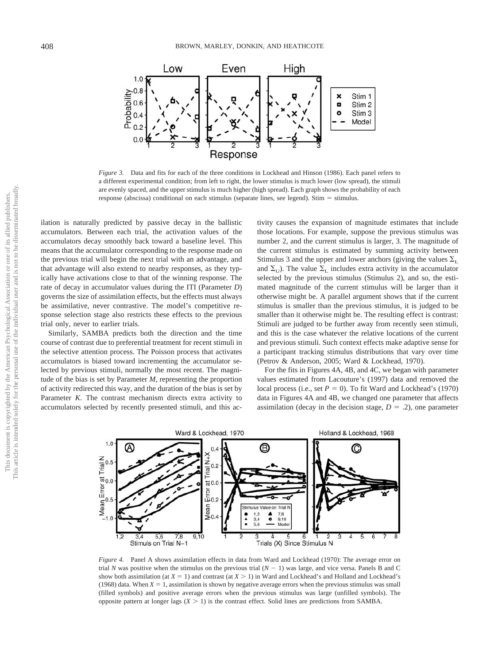

*Figure 3.* Data and fits for each of the three conditions in Lockhead and Hinson (1986). Each panel refers to a different experimental condition; from left to right, the lower stimulus is much lower (low spread), the stimuli are evenly spaced, and the upper stimulus is much higher (high spread). Each graph shows the probability of each response (abscissa) conditional on each stimulus (separate lines, see legend). Stim  $=$  stimulus.

ilation is naturally predicted by passive decay in the ballistic accumulators. Between each trial, the activation values of the accumulators decay smoothly back toward a baseline level. This means that the accumulator corresponding to the response made on the previous trial will begin the next trial with an advantage, and that advantage will also extend to nearby responses, as they typically have activations close to that of the winning response. The rate of decay in accumulator values during the ITI (Parameter *D*) governs the size of assimilation effects, but the effects must always be assimilative, never contrastive. The model's competitive response selection stage also restricts these effects to the previous trial only, never to earlier trials.

Similarly, SAMBA predicts both the direction and the time course of contrast due to preferential treatment for recent stimuli in the selective attention process. The Poisson process that activates accumulators is biased toward incrementing the accumulator selected by previous stimuli, normally the most recent. The magnitude of the bias is set by Parameter *M,* representing the proportion of activity redirected this way, and the duration of the bias is set by Parameter *K*. The contrast mechanism directs extra activity to accumulators selected by recently presented stimuli, and this activity causes the expansion of magnitude estimates that include those locations. For example, suppose the previous stimulus was number 2, and the current stimulus is larger, 3. The magnitude of the current stimulus is estimated by summing activity between Stimulus 3 and the upper and lower anchors (giving the values  $\Sigma$ <sub>L</sub> and  $\Sigma_{\text{U}}$ ). The value  $\Sigma_{\text{L}}$  includes extra activity in the accumulator selected by the previous stimulus (Stimulus 2), and so, the estimated magnitude of the current stimulus will be larger than it otherwise might be. A parallel argument shows that if the current stimulus is smaller than the previous stimulus, it is judged to be smaller than it otherwise might be. The resulting effect is contrast: Stimuli are judged to be further away from recently seen stimuli, and this is the case whatever the relative locations of the current and previous stimuli. Such context effects make adaptive sense for a participant tracking stimulus distributions that vary over time (Petrov & Anderson, 2005; Ward & Lockhead, 1970).

For the fits in Figures 4A, 4B, and 4C, we began with parameter values estimated from Lacouture's (1997) data and removed the local process (i.e., set  $P = 0$ ). To fit Ward and Lockhead's (1970) data in Figures 4A and 4B, we changed one parameter that affects assimilation (decay in the decision stage,  $D = .2$ ), one parameter



*Figure 4.* Panel A shows assimilation effects in data from Ward and Lockhead (1970): The average error on trial *N* was positive when the stimulus on the previous trial  $(N - 1)$  was large, and vice versa. Panels B and C show both assimilation (at  $X = 1$ ) and contrast (at  $X > 1$ ) in Ward and Lockhead's and Holland and Lockhead's (1968) data. When  $X = 1$ , assimilation is shown by negative average errors when the previous stimulus was small (filled symbols) and positive average errors when the previous stimulus was large (unfilled symbols). The opposite pattern at longer lags  $(X > 1)$  is the contrast effect. Solid lines are predictions from SAMBA.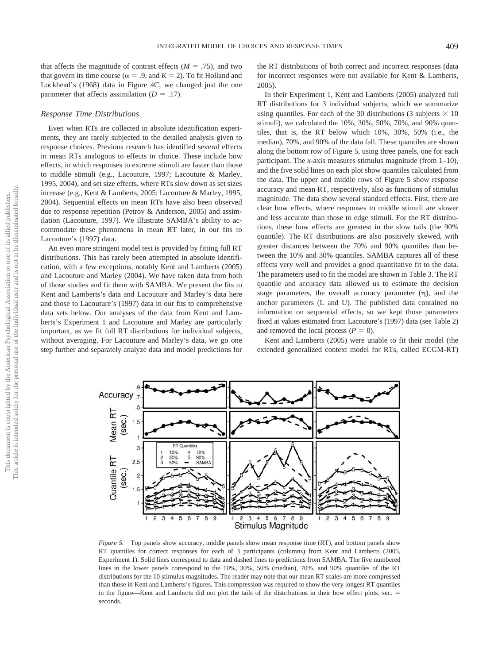that affects the magnitude of contrast effects  $(M = .75)$ , and two that govern its time course ( $\alpha = .9$ , and  $K = 2$ ). To fit Holland and Lockhead's (1968) data in Figure 4C, we changed just the one parameter that affects assimilation  $(D = .17)$ .

## *Response Time Distributions*

Even when RTs are collected in absolute identification experiments, they are rarely subjected to the detailed analysis given to response choices. Previous research has identified several effects in mean RTs analogous to effects in choice. These include bow effects, in which responses to extreme stimuli are faster than those to middle stimuli (e.g., Lacouture, 1997; Lacouture & Marley, 1995, 2004), and set size effects, where RTs slow down as set sizes increase (e.g., Kent & Lamberts, 2005; Lacouture & Marley, 1995, 2004). Sequential effects on mean RTs have also been observed due to response repetition (Petrov & Anderson, 2005) and assimilation (Lacouture, 1997). We illustrate SAMBA's ability to accommodate these phenomena in mean RT later, in our fits to Lacouture's (1997) data.

An even more stringent model test is provided by fitting full RT distributions. This has rarely been attempted in absolute identification, with a few exceptions, notably Kent and Lamberts (2005) and Lacouture and Marley (2004). We have taken data from both of those studies and fit them with SAMBA. We present the fits to Kent and Lamberts's data and Lacouture and Marley's data here and those to Lacouture's (1997) data in our fits to comprehensive data sets below. Our analyses of the data from Kent and Lamberts's Experiment 1 and Lacouture and Marley are particularly important, as we fit full RT distributions for individual subjects, without averaging. For Lacouture and Marley's data, we go one step further and separately analyze data and model predictions for

Accuracy

Mean<sub>RT</sub> (sec.)  $1.5$ 

Quantile RT

(sec.)  $\overline{\mathbf{c}}$ 

.5

3

 $2.5$ 

**RT** Quantile

90%

SAMB/

8 9

10%  $\begin{array}{c} 4 \\ 5 \end{array}$ 70%

30%

3  $\overline{4}$ 5 6 the RT distributions of both correct and incorrect responses (data for incorrect responses were not available for Kent & Lamberts, 2005).

In their Experiment 1, Kent and Lamberts (2005) analyzed full RT distributions for 3 individual subjects, which we summarize using quantiles. For each of the 30 distributions (3 subjects  $\times$  10 stimuli), we calculated the 10%, 30%, 50%, 70%, and 90% quantiles, that is, the RT below which 10%, 30%, 50% (i.e., the median), 70%, and 90% of the data fall. These quantiles are shown along the bottom row of Figure 5, using three panels, one for each participant. The *x*-axis measures stimulus magnitude (from 1–10), and the five solid lines on each plot show quantiles calculated from the data. The upper and middle rows of Figure 5 show response accuracy and mean RT, respectively, also as functions of stimulus magnitude. The data show several standard effects. First, there are clear bow effects, where responses to middle stimuli are slower and less accurate than those to edge stimuli. For the RT distributions, these bow effects are greatest in the slow tails (the 90% quantile). The RT distributions are also positively skewed, with greater distances between the 70% and 90% quantiles than between the 10% and 30% quantiles. SAMBA captures all of these effects very well and provides a good quantitative fit to the data. The parameters used to fit the model are shown in Table 3. The RT quantile and accuracy data allowed us to estimate the decision stage parameters, the overall accuracy parameter  $(\eta)$ , and the anchor parameters (L and U). The published data contained no information on sequential effects, so we kept those parameters fixed at values estimated from Lacouture's (1997) data (see Table 2) and removed the local process  $(P = 0)$ .

Kent and Lamberts (2005) were unable to fit their model (the extended generalized context model for RTs, called ECGM-RT)

*Figure 5.* Top panels show accuracy, middle panels show mean response time (RT), and bottom panels show RT quantiles for correct responses for each of 3 participants (columns) from Kent and Lamberts (2005, Experiment 1). Solid lines correspond to data and dashed lines to predictions from SAMBA. The five numbered lines in the lower panels correspond to the 10%, 30%, 50% (median), 70%, and 90% quantiles of the RT distributions for the 10 stimulus magnitudes. The reader may note that our mean RT scales are more compressed than those in Kent and Lamberts's figures. This compression was required to show the very longest RT quantiles in the figure—Kent and Lamberts did not plot the tails of the distributions in their bow effect plots. sec. = seconds.

2 3  $\overline{\mathbf{4}}$ 5 6 8 9

Stimulus Magnitude

 $\overline{c}$ 3 4 5 6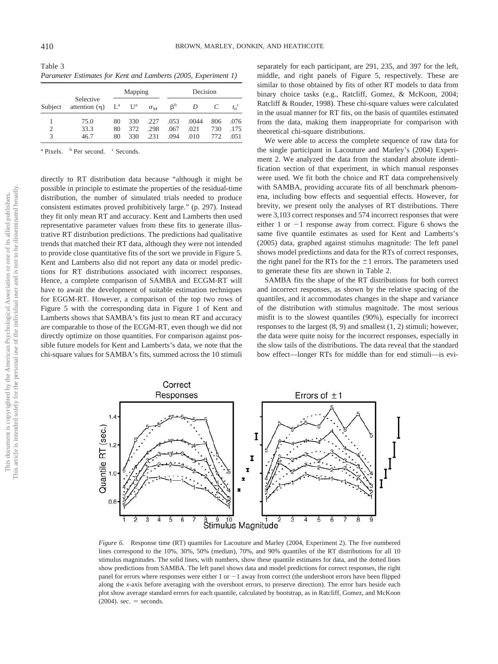Table 3 *Parameter Estimates for Kent and Lamberts (2005, Experiment 1)*

| Subject            | Selective<br>attention $(\eta)$ $L^a$ $U^a$ |          | Mapping    |                  |              | Decision     |            |              |  |  |
|--------------------|---------------------------------------------|----------|------------|------------------|--------------|--------------|------------|--------------|--|--|
|                    |                                             |          |            | $\sigma_{\rm M}$ | $\beta^b$    | D            |            |              |  |  |
|                    | 75.0                                        | 80       | 330        | .227             | .053         | .0044        | 806        | .076         |  |  |
| 2<br>$\mathcal{R}$ | 33.3<br>46.7                                | 80<br>80 | 372<br>330 | .298<br>.231     | .067<br>.094 | .021<br>.010 | 730<br>772 | .175<br>.051 |  |  |

<sup>a</sup> Pixels. <sup>b</sup> Per second. <sup>c</sup> Seconds.

directly to RT distribution data because "although it might be possible in principle to estimate the properties of the residual-time distribution, the number of simulated trials needed to produce consistent estimates proved prohibitively large." (p. 297). Instead they fit only mean RT and accuracy. Kent and Lamberts then used representative parameter values from these fits to generate illustrative RT distribution predictions. The predictions had qualitative trends that matched their RT data, although they were not intended to provide close quantitative fits of the sort we provide in Figure 5. Kent and Lamberts also did not report any data or model predictions for RT distributions associated with incorrect responses. Hence, a complete comparison of SAMBA and ECGM-RT will have to await the development of suitable estimation techniques for EGGM-RT. However, a comparison of the top two rows of Figure 5 with the corresponding data in Figure 1 of Kent and Lamberts shows that SAMBA's fits just to mean RT and accuracy are comparable to those of the ECGM-RT, even though we did not directly optimize on those quantities. For comparison against possible future models for Kent and Lamberts's data, we note that the chi-square values for SAMBA's fits, summed across the 10 stimuli

separately for each participant, are 291, 235, and 397 for the left, middle, and right panels of Figure 5, respectively. These are similar to those obtained by fits of other RT models to data from binary choice tasks (e.g., Ratcliff, Gomez, & McKoon, 2004; Ratcliff & Rouder, 1998). These chi-square values were calculated in the usual manner for RT fits, on the basis of quantiles estimated from the data, making them inappropriate for comparison with theoretical chi-square distributions.

We were able to access the complete sequence of raw data for the single participant in Lacouture and Marley's (2004) Experiment 2. We analyzed the data from the standard absolute identification section of that experiment, in which manual responses were used. We fit both the choice and RT data comprehensively with SAMBA, providing accurate fits of all benchmark phenomena, including bow effects and sequential effects. However, for brevity, we present only the analyses of RT distributions. There were 3,103 correct responses and 574 incorrect responses that were either 1 or  $-1$  response away from correct. Figure 6 shows the same five quantile estimates as used for Kent and Lamberts's (2005) data, graphed against stimulus magnitude: The left panel shows model predictions and data for the RTs of correct responses, the right panel for the RTs for the  $\pm 1$  errors. The parameters used to generate these fits are shown in Table 2.

SAMBA fits the shape of the RT distributions for both correct and incorrect responses, as shown by the relative spacing of the quantiles, and it accommodates changes in the shape and variance of the distribution with stimulus magnitude. The most serious misfit is to the slowest quantiles (90%), especially for incorrect responses to the largest (8, 9) and smallest (1, 2) stimuli; however, the data were quite noisy for the incorrect responses, especially in the slow tails of the distributions. The data reveal that the standard bow effect—longer RTs for middle than for end stimuli—is evi-



*Figure 6.* Response time (RT) quantiles for Lacouture and Marley (2004, Experiment 2). The five numbered lines correspond to the 10%, 30%, 50% (median), 70%, and 90% quantiles of the RT distributions for all 10 stimulus magnitudes. The solid lines, with numbers, show these quantile estimates for data, and the dotted lines show predictions from SAMBA. The left panel shows data and model predictions for correct responses, the right panel for errors where responses were either  $1$  or  $-1$  away from correct (the undershoot errors have been flipped along the *x*-axis before averaging with the overshoot errors, to preserve direction). The error bars beside each plot show average standard errors for each quantile, calculated by bootstrap, as in Ratcliff, Gomez, and McKoon  $(2004)$ . sec. = seconds.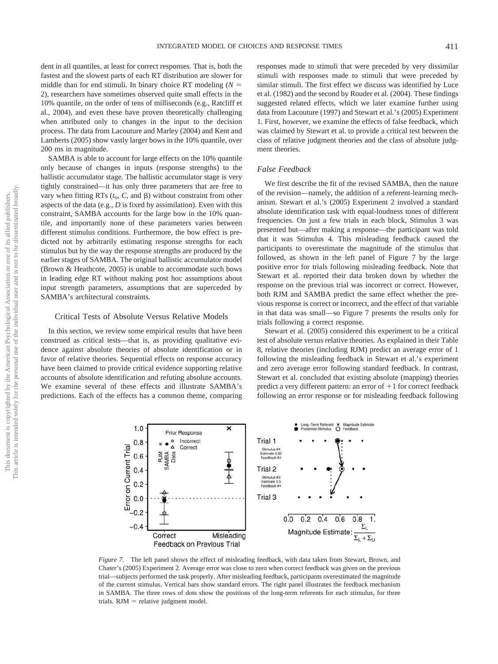dent in all quantiles, at least for correct responses. That is, both the fastest and the slowest parts of each RT distribution are slower for middle than for end stimuli. In binary choice RT modeling  $(N =$ 2), researchers have sometimes observed quite small effects in the 10% quantile, on the order of tens of milliseconds (e.g., Ratcliff et al., 2004), and even these have proven theoretically challenging when attributed only to changes in the input to the decision process. The data from Lacouture and Marley (2004) and Kent and Lamberts (2005) show vastly larger bows in the 10% quantile, over 200 ms in magnitude.

SAMBA is able to account for large effects on the 10% quantile only because of changes in inputs (response strengths) to the ballistic accumulator stage. The ballistic accumulator stage is very tightly constrained—it has only three parameters that are free to vary when fitting RTs  $(t_0, C, \text{ and } \beta)$  without constraint from other aspects of the data (e.g., *D* is fixed by assimilation). Even with this constraint, SAMBA accounts for the large bow in the 10% quantile, and importantly none of these parameters varies between different stimulus conditions. Furthermore, the bow effect is predicted not by arbitrarily estimating response strengths for each stimulus but by the way the response strengths are produced by the earlier stages of SAMBA. The original ballistic accumulator model (Brown & Heathcote, 2005) is unable to accommodate such bows in leading edge RT without making post hoc assumptions about input strength parameters, assumptions that are superceded by SAMBA's architectural constraints.

#### Critical Tests of Absolute Versus Relative Models

In this section, we review some empirical results that have been construed as critical tests—that is, as providing qualitative evidence against absolute theories of absolute identification or in favor of relative theories. Sequential effects on response accuracy have been claimed to provide critical evidence supporting relative accounts of absolute identification and refuting absolute accounts. We examine several of these effects and illustrate SAMBA's predictions. Each of the effects has a common theme, comparing responses made to stimuli that were preceded by very dissimilar stimuli with responses made to stimuli that were preceded by similar stimuli. The first effect we discuss was identified by Luce et al. (1982) and the second by Rouder et al. (2004). These findings suggested related effects, which we later examine further using data from Lacouture (1997) and Stewart et al.'s (2005) Experiment 1. First, however, we examine the effects of false feedback, which was claimed by Stewart et al. to provide a critical test between the class of relative judgment theories and the class of absolute judgment theories.

# *False Feedback*

We first describe the fit of the revised SAMBA, then the nature of the revision—namely, the addition of a referent-learning mechanism. Stewart et al.'s (2005) Experiment 2 involved a standard absolute identification task with equal-loudness tones of different frequencies. On just a few trials in each block, Stimulus 3 was presented but—after making a response—the participant was told that it was Stimulus 4. This misleading feedback caused the participants to overestimate the magnitude of the stimulus that followed, as shown in the left panel of Figure 7 by the large positive error for trials following misleading feedback. Note that Stewart et al. reported their data broken down by whether the response on the previous trial was incorrect or correct. However, both RJM and SAMBA predict the same effect whether the previous response is correct or incorrect, and the effect of that variable in that data was small—so Figure 7 presents the results only for trials following a correct response.

Stewart et al. (2005) considered this experiment to be a critical test of absolute versus relative theories. As explained in their Table 8, relative theories (including RJM) predict an average error of 1 following the misleading feedback in Stewart et al.'s experiment and zero average error following standard feedback. In contrast, Stewart et al. concluded that existing absolute (mapping) theories predict a very different pattern: an error of  $+1$  for correct feedback following an error response or for misleading feedback following



*Figure 7.* The left panel shows the effect of misleading feedback, with data taken from Stewart, Brown, and Chater's (2005) Experiment 2. Average error was close to zero when correct feedback was given on the previous trial—subjects performed the task properly. After misleading feedback, participants overestimated the magnitude of the current stimulus. Vertical bars show standard errors. The right panel illustrates the feedback mechanism in SAMBA. The three rows of dots show the positions of the long-term referents for each stimulus, for three trials.  $RJM$  = relative judgment model.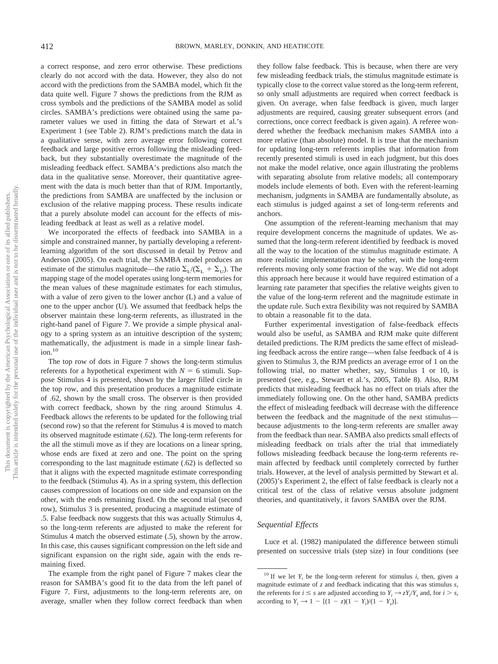a correct response, and zero error otherwise. These predictions clearly do not accord with the data. However, they also do not accord with the predictions from the SAMBA model, which fit the data quite well. Figure 7 shows the predictions from the RJM as cross symbols and the predictions of the SAMBA model as solid circles. SAMBA's predictions were obtained using the same parameter values we used in fitting the data of Stewart et al.'s Experiment 1 (see Table 2). RJM's predictions match the data in a qualitative sense, with zero average error following correct feedback and large positive errors following the misleading feedback, but they substantially overestimate the magnitude of the misleading feedback effect. SAMBA's predictions also match the data in the qualitative sense. Moreover, their quantitative agreement with the data is much better than that of RJM. Importantly, the predictions from SAMBA are unaffected by the inclusion or exclusion of the relative mapping process. These results indicate that a purely absolute model can account for the effects of misleading feedback at least as well as a relative model.

We incorporated the effects of feedback into SAMBA in a simple and constrained manner, by partially developing a referentlearning algorithm of the sort discussed in detail by Petrov and Anderson (2005). On each trial, the SAMBA model produces an estimate of the stimulus magnitude—the ratio  $\Sigma_{\text{L}}/(\Sigma_{\text{L}} + \Sigma_{\text{U}})$ . The mapping stage of the model operates using long-term memories for the mean values of these magnitude estimates for each stimulus, with a value of zero given to the lower anchor (L) and a value of one to the upper anchor (U). We assumed that feedback helps the observer maintain these long-term referents, as illustrated in the right-hand panel of Figure 7. We provide a simple physical analogy to a spring system as an intuitive description of the system; mathematically, the adjustment is made in a simple linear fash $ion.<sup>10</sup>$ 

The top row of dots in Figure 7 shows the long-term stimulus referents for a hypothetical experiment with  $N = 6$  stimuli. Suppose Stimulus 4 is presented, shown by the larger filled circle in the top row, and this presentation produces a magnitude estimate of .62, shown by the small cross. The observer is then provided with correct feedback, shown by the ring around Stimulus 4. Feedback allows the referents to be updated for the following trial (second row) so that the referent for Stimulus 4 is moved to match its observed magnitude estimate (.62). The long-term referents for the all the stimuli move as if they are locations on a linear spring, whose ends are fixed at zero and one. The point on the spring corresponding to the last magnitude estimate (.62) is deflected so that it aligns with the expected magnitude estimate corresponding to the feedback (Stimulus 4). As in a spring system, this deflection causes compression of locations on one side and expansion on the other, with the ends remaining fixed. On the second trial (second row), Stimulus 3 is presented, producing a magnitude estimate of .5. False feedback now suggests that this was actually Stimulus 4, so the long-term referents are adjusted to make the referent for Stimulus 4 match the observed estimate (.5), shown by the arrow. In this case, this causes significant compression on the left side and significant expansion on the right side, again with the ends remaining fixed.

The example from the right panel of Figure 7 makes clear the reason for SAMBA's good fit to the data from the left panel of Figure 7. First, adjustments to the long-term referents are, on average, smaller when they follow correct feedback than when they follow false feedback. This is because, when there are very few misleading feedback trials, the stimulus magnitude estimate is typically close to the correct value stored as the long-term referent, so only small adjustments are required when correct feedback is given. On average, when false feedback is given, much larger adjustments are required, causing greater subsequent errors (and corrections, once correct feedback is given again). A referee wondered whether the feedback mechanism makes SAMBA into a more relative (than absolute) model. It is true that the mechanism for updating long-term referents implies that information from recently presented stimuli is used in each judgment, but this does not make the model relative, once again illustrating the problems with separating absolute from relative models; all contemporary models include elements of both. Even with the referent-learning mechanism, judgments in SAMBA are fundamentally absolute, as each stimulus is judged against a set of long-term referents and anchors.

One assumption of the referent-learning mechanism that may require development concerns the magnitude of updates. We assumed that the long-term referent identified by feedback is moved all the way to the location of the stimulus magnitude estimate. A more realistic implementation may be softer, with the long-term referents moving only some fraction of the way. We did not adopt this approach here because it would have required estimation of a learning rate parameter that specifies the relative weights given to the value of the long-term referent and the magnitude estimate in the update rule. Such extra flexibility was not required by SAMBA to obtain a reasonable fit to the data.

Further experimental investigation of false-feedback effects would also be useful, as SAMBA and RJM make quite different detailed predictions. The RJM predicts the same effect of misleading feedback across the entire range—when false feedback of 4 is given to Stimulus 3, the RJM predicts an average error of 1 on the following trial, no matter whether, say, Stimulus 1 or 10, is presented (see, e.g., Stewart et al.'s, 2005, Table 8). Also, RJM predicts that misleading feedback has no effect on trials after the immediately following one. On the other hand, SAMBA predicts the effect of misleading feedback will decrease with the difference between the feedback and the magnitude of the next stimulus because adjustments to the long-term referents are smaller away from the feedback than near. SAMBA also predicts small effects of misleading feedback on trials after the trial that immediately follows misleading feedback because the long-term referents remain affected by feedback until completely corrected by further trials. However, at the level of analysis permitted by Stewart et al. (2005)'s Experiment 2, the effect of false feedback is clearly not a critical test of the class of relative versus absolute judgment theories, and quantitatively, it favors SAMBA over the RJM.

## *Sequential Effects*

Luce et al. (1982) manipulated the difference between stimuli presented on successive trials (step size) in four conditions (see

<sup>&</sup>lt;sup>10</sup> If we let  $Y_i$  be the long-term referent for stimulus *i*, then, given a magnitude estimate of *z* and feedback indicating that this was stimulus *s,* the referents for  $i \leq s$  are adjusted according to  $Y_i \rightarrow zY_i/Y_s$  and, for  $i > s$ , according to  $Y_i \to 1 - [(1 - z)(1 - Y_i)/(1 - Y_s)].$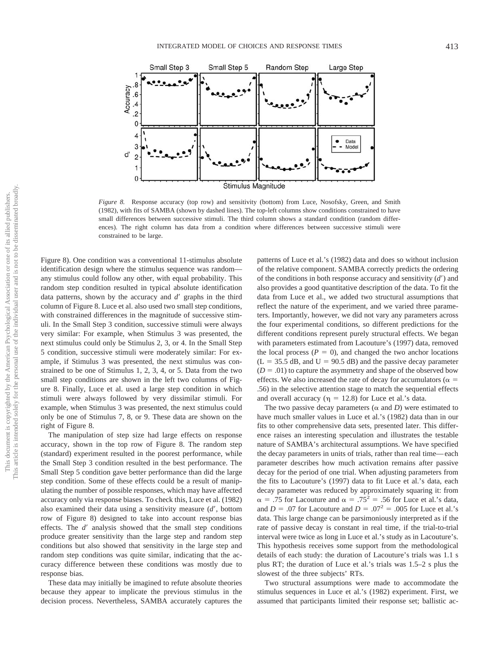

*Figure 8.* Response accuracy (top row) and sensitivity (bottom) from Luce, Nosofsky, Green, and Smith (1982), with fits of SAMBA (shown by dashed lines). The top-left columns show conditions constrained to have small differences between successive stimuli. The third column shows a standard condition (random differences). The right column has data from a condition where differences between successive stimuli were constrained to be large.

Figure 8). One condition was a conventional 11-stimulus absolute identification design where the stimulus sequence was random any stimulus could follow any other, with equal probability. This random step condition resulted in typical absolute identification data patterns, shown by the accuracy and *d'* graphs in the third column of Figure 8. Luce et al. also used two small step conditions, with constrained differences in the magnitude of successive stimuli. In the Small Step 3 condition, successive stimuli were always very similar: For example, when Stimulus 3 was presented, the next stimulus could only be Stimulus 2, 3, or 4. In the Small Step 5 condition, successive stimuli were moderately similar: For example, if Stimulus 3 was presented, the next stimulus was constrained to be one of Stimulus 1, 2, 3, 4, or 5. Data from the two small step conditions are shown in the left two columns of Figure 8. Finally, Luce et al. used a large step condition in which stimuli were always followed by very dissimilar stimuli. For example, when Stimulus 3 was presented, the next stimulus could only be one of Stimulus 7, 8, or 9. These data are shown on the right of Figure 8.

The manipulation of step size had large effects on response accuracy, shown in the top row of Figure 8. The random step (standard) experiment resulted in the poorest performance, while the Small Step 3 condition resulted in the best performance. The Small Step 5 condition gave better performance than did the large step condition. Some of these effects could be a result of manipulating the number of possible responses, which may have affected accuracy only via response biases. To check this, Luce et al. (1982) also examined their data using a sensitivity measure (*d*, bottom row of Figure 8) designed to take into account response bias effects. The *d'* analysis showed that the small step conditions produce greater sensitivity than the large step and random step conditions but also showed that sensitivity in the large step and random step conditions was quite similar, indicating that the accuracy difference between these conditions was mostly due to response bias.

These data may initially be imagined to refute absolute theories because they appear to implicate the previous stimulus in the decision process. Nevertheless, SAMBA accurately captures the patterns of Luce et al.'s (1982) data and does so without inclusion of the relative component. SAMBA correctly predicts the ordering of the conditions in both response accuracy and sensitivity  $(d')$  and also provides a good quantitative description of the data. To fit the data from Luce et al., we added two structural assumptions that reflect the nature of the experiment, and we varied three parameters. Importantly, however, we did not vary any parameters across the four experimental conditions, so different predictions for the different conditions represent purely structural effects. We began with parameters estimated from Lacouture's (1997) data, removed the local process  $(P = 0)$ , and changed the two anchor locations  $(L = 35.5$  dB, and  $U = 90.5$  dB) and the passive decay parameter  $(D = .01)$  to capture the asymmetry and shape of the observed bow effects. We also increased the rate of decay for accumulators ( $\alpha$  = .56) in the selective attention stage to match the sequential effects and overall accuracy ( $\eta = 12.8$ ) for Luce et al.'s data.

The two passive decay parameters ( $\alpha$  and *D*) were estimated to have much smaller values in Luce et al.'s (1982) data than in our fits to other comprehensive data sets, presented later. This difference raises an interesting speculation and illustrates the testable nature of SAMBA's architectural assumptions. We have specified the decay parameters in units of trials, rather than real time—each parameter describes how much activation remains after passive decay for the period of one trial. When adjusting parameters from the fits to Lacouture's (1997) data to fit Luce et al.'s data, each decay parameter was reduced by approximately squaring it: from  $\alpha$  = .75 for Lacouture and  $\alpha$  = .75<sup>2</sup> = .56 for Luce et al.'s data, and *D* = .07 for Lacouture and *D* = .07<sup>2</sup> = .005 for Luce et al.'s data. This large change can be parsimoniously interpreted as if the rate of passive decay is constant in real time, if the trial-to-trial interval were twice as long in Luce et al.'s study as in Lacouture's. This hypothesis receives some support from the methodological details of each study: the duration of Lacouture's trials was 1.1 s plus RT; the duration of Luce et al.'s trials was 1.5–2 s plus the slowest of the three subjects' RTs.

Two structural assumptions were made to accommodate the stimulus sequences in Luce et al.'s (1982) experiment. First, we assumed that participants limited their response set; ballistic ac-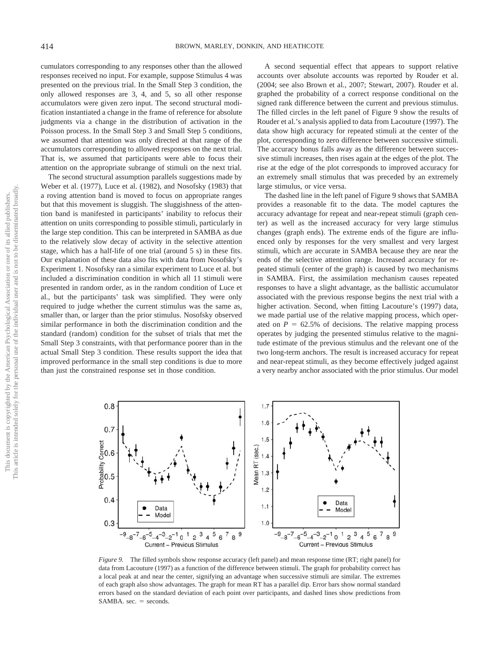cumulators corresponding to any responses other than the allowed responses received no input. For example, suppose Stimulus 4 was presented on the previous trial. In the Small Step 3 condition, the only allowed responses are 3, 4, and 5, so all other response accumulators were given zero input. The second structural modification instantiated a change in the frame of reference for absolute judgments via a change in the distribution of activation in the Poisson process. In the Small Step 3 and Small Step 5 conditions, we assumed that attention was only directed at that range of the accumulators corresponding to allowed responses on the next trial. That is, we assumed that participants were able to focus their attention on the appropriate subrange of stimuli on the next trial.

The second structural assumption parallels suggestions made by Weber et al. (1977), Luce et al. (1982), and Nosofsky (1983) that a roving attention band is moved to focus on appropriate ranges but that this movement is sluggish. The sluggishness of the attention band is manifested in participants' inability to refocus their attention on units corresponding to possible stimuli, particularly in the large step condition. This can be interpreted in SAMBA as due to the relatively slow decay of activity in the selective attention stage, which has a half-life of one trial (around 5 s) in these fits. Our explanation of these data also fits with data from Nosofsky's Experiment 1. Nosofsky ran a similar experiment to Luce et al. but included a discrimination condition in which all 11 stimuli were presented in random order, as in the random condition of Luce et al., but the participants' task was simplified. They were only required to judge whether the current stimulus was the same as, smaller than, or larger than the prior stimulus. Nosofsky observed similar performance in both the discrimination condition and the standard (random) condition for the subset of trials that met the Small Step 3 constraints, with that performance poorer than in the actual Small Step 3 condition. These results support the idea that improved performance in the small step conditions is due to more than just the constrained response set in those condition.

A second sequential effect that appears to support relative accounts over absolute accounts was reported by Rouder et al. (2004; see also Brown et al., 2007; Stewart, 2007). Rouder et al. graphed the probability of a correct response conditional on the signed rank difference between the current and previous stimulus. The filled circles in the left panel of Figure 9 show the results of Rouder et al.'s analysis applied to data from Lacouture (1997). The data show high accuracy for repeated stimuli at the center of the plot, corresponding to zero difference between successive stimuli. The accuracy bonus falls away as the difference between successive stimuli increases, then rises again at the edges of the plot. The rise at the edge of the plot corresponds to improved accuracy for an extremely small stimulus that was preceded by an extremely large stimulus, or vice versa.

The dashed line in the left panel of Figure 9 shows that SAMBA provides a reasonable fit to the data. The model captures the accuracy advantage for repeat and near-repeat stimuli (graph center) as well as the increased accuracy for very large stimulus changes (graph ends). The extreme ends of the figure are influenced only by responses for the very smallest and very largest stimuli, which are accurate in SAMBA because they are near the ends of the selective attention range. Increased accuracy for repeated stimuli (center of the graph) is caused by two mechanisms in SAMBA. First, the assimilation mechanism causes repeated responses to have a slight advantage, as the ballistic accumulator associated with the previous response begins the next trial with a higher activation. Second, when fitting Lacouture's (1997) data, we made partial use of the relative mapping process, which operated on  $P = 62.5\%$  of decisions. The relative mapping process operates by judging the presented stimulus relative to the magnitude estimate of the previous stimulus and the relevant one of the two long-term anchors. The result is increased accuracy for repeat and near-repeat stimuli, as they become effectively judged against a very nearby anchor associated with the prior stimulus. Our model



*Figure 9.* The filled symbols show response accuracy (left panel) and mean response time (RT; right panel) for data from Lacouture (1997) as a function of the difference between stimuli. The graph for probability correct has a local peak at and near the center, signifying an advantage when successive stimuli are similar. The extremes of each graph also show advantages. The graph for mean RT has a parallel dip. Error bars show normal standard errors based on the standard deviation of each point over participants, and dashed lines show predictions from SAMBA.  $sec. = seconds$ .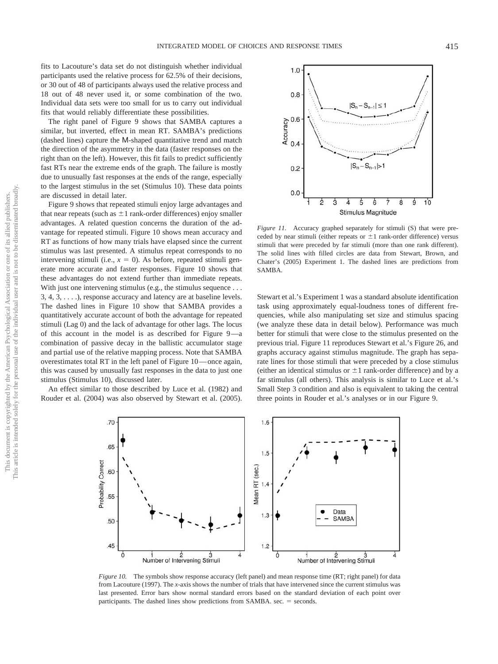fits to Lacouture's data set do not distinguish whether individual participants used the relative process for 62.5% of their decisions, or 30 out of 48 of participants always used the relative process and 18 out of 48 never used it, or some combination of the two. Individual data sets were too small for us to carry out individual fits that would reliably differentiate these possibilities.

The right panel of Figure 9 shows that SAMBA captures a similar, but inverted, effect in mean RT. SAMBA's predictions (dashed lines) capture the M-shaped quantitative trend and match the direction of the asymmetry in the data (faster responses on the right than on the left). However, this fit fails to predict sufficiently fast RTs near the extreme ends of the graph. The failure is mostly due to unusually fast responses at the ends of the range, especially to the largest stimulus in the set (Stimulus 10). These data points are discussed in detail later.

Figure 9 shows that repeated stimuli enjoy large advantages and that near repeats (such as  $\pm 1$  rank-order differences) enjoy smaller advantages. A related question concerns the duration of the advantage for repeated stimuli. Figure 10 shows mean accuracy and RT as functions of how many trials have elapsed since the current stimulus was last presented. A stimulus repeat corresponds to no intervening stimuli (i.e.,  $x = 0$ ). As before, repeated stimuli generate more accurate and faster responses. Figure 10 shows that these advantages do not extend further than immediate repeats. With just one intervening stimulus (e.g., the stimulus sequence ...  $3, 4, 3, \ldots$ ), response accuracy and latency are at baseline levels. The dashed lines in Figure 10 show that SAMBA provides a quantitatively accurate account of both the advantage for repeated stimuli (Lag 0) and the lack of advantage for other lags. The locus of this account in the model is as described for Figure 9—a combination of passive decay in the ballistic accumulator stage and partial use of the relative mapping process. Note that SAMBA overestimates total RT in the left panel of Figure 10—once again, this was caused by unusually fast responses in the data to just one stimulus (Stimulus 10), discussed later.

An effect similar to those described by Luce et al. (1982) and Rouder et al. (2004) was also observed by Stewart et al. (2005).



*Figure 11.* Accuracy graphed separately for stimuli (S) that were preceded by near stimuli (either repeats or  $\pm 1$  rank-order difference) versus stimuli that were preceded by far stimuli (more than one rank different). The solid lines with filled circles are data from Stewart, Brown, and Chater's (2005) Experiment 1. The dashed lines are predictions from **SAMBA** 

Stewart et al.'s Experiment 1 was a standard absolute identification task using approximately equal-loudness tones of different frequencies, while also manipulating set size and stimulus spacing (we analyze these data in detail below). Performance was much better for stimuli that were close to the stimulus presented on the previous trial. Figure 11 reproduces Stewart et al.'s Figure 26, and graphs accuracy against stimulus magnitude. The graph has separate lines for those stimuli that were preceded by a close stimulus (either an identical stimulus or  $\pm 1$  rank-order difference) and by a far stimulus (all others). This analysis is similar to Luce et al.'s Small Step 3 condition and also is equivalent to taking the central three points in Rouder et al.'s analyses or in our Figure 9.



*Figure 10.* The symbols show response accuracy (left panel) and mean response time (RT; right panel) for data from Lacouture (1997). The *x*-axis shows the number of trials that have intervened since the current stimulus was last presented. Error bars show normal standard errors based on the standard deviation of each point over participants. The dashed lines show predictions from SAMBA. sec.  $=$  seconds.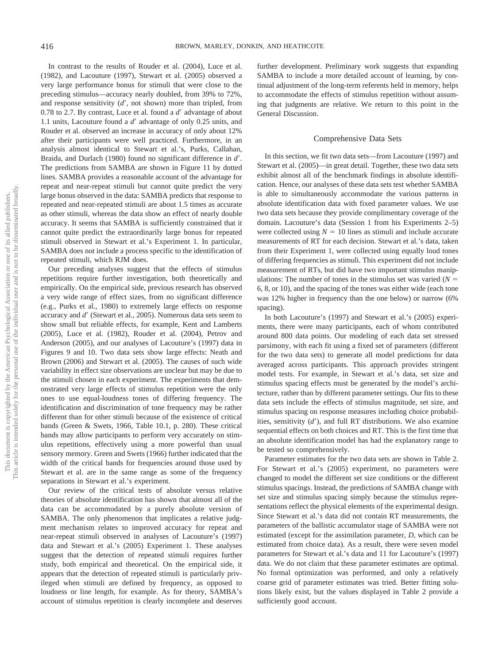In contrast to the results of Rouder et al. (2004), Luce et al. (1982), and Lacouture (1997), Stewart et al. (2005) observed a very large performance bonus for stimuli that were close to the preceding stimulus—accuracy nearly doubled, from 39% to 72%, and response sensitivity (d', not shown) more than tripled, from 0.78 to 2.7. By contrast, Luce et al. found a d' advantage of about 1.1 units, Lacouture found a d' advantage of only 0.25 units, and Rouder et al. observed an increase in accuracy of only about 12% after their participants were well practiced. Furthermore, in an analysis almost identical to Stewart et al.'s, Purks, Callahan, Braida, and Durlach (1980) found no significant difference in *d*. The predictions from SAMBA are shown in Figure 11 by dotted lines. SAMBA provides a reasonable account of the advantage for repeat and near-repeat stimuli but cannot quite predict the very large bonus observed in the data: SAMBA predicts that response to repeated and near-repeated stimuli are about 1.5 times as accurate as other stimuli, whereas the data show an effect of nearly double accuracy. It seems that SAMBA is sufficiently constrained that it cannot quite predict the extraordinarily large bonus for repeated stimuli observed in Stewart et al.'s Experiment 1. In particular, SAMBA does not include a process specific to the identification of repeated stimuli, which RJM does.

Our preceding analyses suggest that the effects of stimulus repetitions require further investigation, both theoretically and empirically. On the empirical side, previous research has observed a very wide range of effect sizes, from no significant difference (e.g., Purks et al., 1980) to extremely large effects on response accuracy and *d'* (Stewart et al., 2005). Numerous data sets seem to show small but reliable effects, for example, Kent and Lamberts (2005), Luce et al. (1982), Rouder et al. (2004), Petrov and Anderson (2005), and our analyses of Lacouture's (1997) data in Figures 9 and 10. Two data sets show large effects: Neath and Brown (2006) and Stewart et al. (2005). The causes of such wide variability in effect size observations are unclear but may be due to the stimuli chosen in each experiment. The experiments that demonstrated very large effects of stimulus repetition were the only ones to use equal-loudness tones of differing frequency. The identification and discrimination of tone frequency may be rather different than for other stimuli because of the existence of critical bands (Green & Swets, 1966, Table 10.1, p. 280). These critical bands may allow participants to perform very accurately on stimulus repetitions, effectively using a more powerful than usual sensory memory. Green and Swets (1966) further indicated that the width of the critical bands for frequencies around those used by Stewart et al. are in the same range as some of the frequency separations in Stewart et al.'s experiment.

Our review of the critical tests of absolute versus relative theories of absolute identification has shown that almost all of the data can be accommodated by a purely absolute version of SAMBA. The only phenomenon that implicates a relative judgment mechanism relates to improved accuracy for repeat and near-repeat stimuli observed in analyses of Lacouture's (1997) data and Stewart et al.'s (2005) Experiment 1. These analyses suggest that the detection of repeated stimuli requires further study, both empirical and theoretical. On the empirical side, it appears that the detection of repeated stimuli is particularly privileged when stimuli are defined by frequency, as opposed to loudness or line length, for example. As for theory, SAMBA's account of stimulus repetition is clearly incomplete and deserves

further development. Preliminary work suggests that expanding SAMBA to include a more detailed account of learning, by continual adjustment of the long-term referents held in memory, helps to accommodate the effects of stimulus repetition without assuming that judgments are relative. We return to this point in the General Discussion.

#### Comprehensive Data Sets

In this section, we fit two data sets—from Lacouture (1997) and Stewart et al. (2005)—in great detail. Together, these two data sets exhibit almost all of the benchmark findings in absolute identification. Hence, our analyses of these data sets test whether SAMBA is able to simultaneously accommodate the various patterns in absolute identification data with fixed parameter values. We use two data sets because they provide complimentary coverage of the domain. Lacouture's data (Session 1 from his Experiments 2–5) were collected using  $N = 10$  lines as stimuli and include accurate measurements of RT for each decision. Stewart et al.'s data, taken from their Experiment 1, were collected using equally loud tones of differing frequencies as stimuli. This experiment did not include measurement of RTs, but did have two important stimulus manipulations: The number of tones in the stimulus set was varied  $(N =$ 6, 8, or 10), and the spacing of the tones was either wide (each tone was 12% higher in frequency than the one below) or narrow (6% spacing).

In both Lacouture's (1997) and Stewart et al.'s (2005) experiments, there were many participants, each of whom contributed around 800 data points. Our modeling of each data set stressed parsimony, with each fit using a fixed set of parameters (different for the two data sets) to generate all model predictions for data averaged across participants. This approach provides stringent model tests. For example, in Stewart et al.'s data, set size and stimulus spacing effects must be generated by the model's architecture, rather than by different parameter settings. Our fits to these data sets include the effects of stimulus magnitude, set size, and stimulus spacing on response measures including choice probabilities, sensitivity (d'), and full RT distributions. We also examine sequential effects on both choices and RT. This is the first time that an absolute identification model has had the explanatory range to be tested so comprehensively.

Parameter estimates for the two data sets are shown in Table 2. For Stewart et al.'s (2005) experiment, no parameters were changed to model the different set size conditions or the different stimulus spacings. Instead, the predictions of SAMBA change with set size and stimulus spacing simply because the stimulus representations reflect the physical elements of the experimental design. Since Stewart et al.'s data did not contain RT measurements, the parameters of the ballistic accumulator stage of SAMBA were not estimated (except for the assimilation parameter, *D,* which can be estimated from choice data). As a result, there were seven model parameters for Stewart et al.'s data and 11 for Lacouture's (1997) data. We do not claim that these parameter estimates are optimal. No formal optimization was performed, and only a relatively coarse grid of parameter estimates was tried. Better fitting solutions likely exist, but the values displayed in Table 2 provide a sufficiently good account.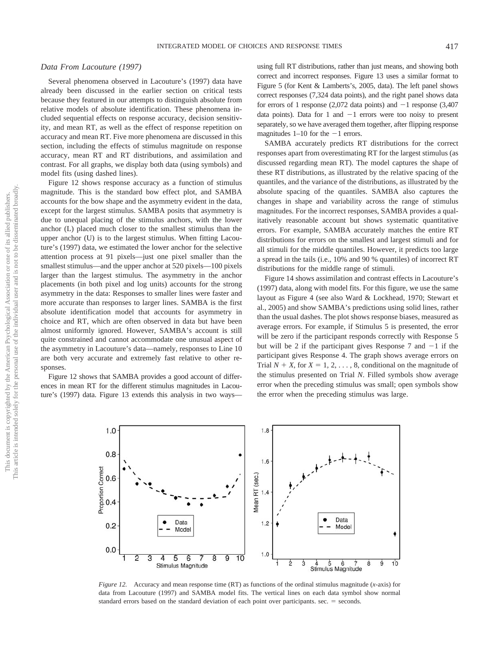## *Data From Lacouture (1997)*

Several phenomena observed in Lacouture's (1997) data have already been discussed in the earlier section on critical tests because they featured in our attempts to distinguish absolute from relative models of absolute identification. These phenomena included sequential effects on response accuracy, decision sensitivity, and mean RT, as well as the effect of response repetition on accuracy and mean RT. Five more phenomena are discussed in this section, including the effects of stimulus magnitude on response accuracy, mean RT and RT distributions, and assimilation and contrast. For all graphs, we display both data (using symbols) and model fits (using dashed lines).

Figure 12 shows response accuracy as a function of stimulus magnitude. This is the standard bow effect plot, and SAMBA accounts for the bow shape and the asymmetry evident in the data, except for the largest stimulus. SAMBA posits that asymmetry is due to unequal placing of the stimulus anchors, with the lower anchor (L) placed much closer to the smallest stimulus than the upper anchor (U) is to the largest stimulus. When fitting Lacouture's (1997) data, we estimated the lower anchor for the selective attention process at 91 pixels—just one pixel smaller than the smallest stimulus—and the upper anchor at 520 pixels—100 pixels larger than the largest stimulus. The asymmetry in the anchor placements (in both pixel and log units) accounts for the strong asymmetry in the data: Responses to smaller lines were faster and more accurate than responses to larger lines. SAMBA is the first absolute identification model that accounts for asymmetry in choice and RT, which are often observed in data but have been almost uniformly ignored. However, SAMBA's account is still quite constrained and cannot accommodate one unusual aspect of the asymmetry in Lacouture's data—namely, responses to Line 10 are both very accurate and extremely fast relative to other responses.

Figure 12 shows that SAMBA provides a good account of differences in mean RT for the different stimulus magnitudes in Lacouture's (1997) data. Figure 13 extends this analysis in two waysusing full RT distributions, rather than just means, and showing both correct and incorrect responses. Figure 13 uses a similar format to Figure 5 (for Kent & Lamberts's, 2005, data). The left panel shows correct responses (7,324 data points), and the right panel shows data for errors of 1 response (2,072 data points) and  $-1$  response (3,407 data points). Data for 1 and  $-1$  errors were too noisy to present separately, so we have averaged them together, after flipping response magnitudes  $1-10$  for the  $-1$  errors.

SAMBA accurately predicts RT distributions for the correct responses apart from overestimating RT for the largest stimulus (as discussed regarding mean RT). The model captures the shape of these RT distributions, as illustrated by the relative spacing of the quantiles, and the variance of the distributions, as illustrated by the absolute spacing of the quantiles. SAMBA also captures the changes in shape and variability across the range of stimulus magnitudes. For the incorrect responses, SAMBA provides a qualitatively reasonable account but shows systematic quantitative errors. For example, SAMBA accurately matches the entire RT distributions for errors on the smallest and largest stimuli and for all stimuli for the middle quantiles. However, it predicts too large a spread in the tails (i.e., 10% and 90 % quantiles) of incorrect RT distributions for the middle range of stimuli.

Figure 14 shows assimilation and contrast effects in Lacouture's (1997) data, along with model fits. For this figure, we use the same layout as Figure 4 (see also Ward & Lockhead, 1970; Stewart et al., 2005) and show SAMBA's predictions using solid lines, rather than the usual dashes. The plot shows response biases, measured as average errors. For example, if Stimulus 5 is presented, the error will be zero if the participant responds correctly with Response 5 but will be 2 if the participant gives Response 7 and  $-1$  if the participant gives Response 4. The graph shows average errors on Trial  $N + X$ , for  $X = 1, 2, ..., 8$ , conditional on the magnitude of the stimulus presented on Trial *N*. Filled symbols show average error when the preceding stimulus was small; open symbols show the error when the preceding stimulus was large.



*Figure 12.* Accuracy and mean response time (RT) as functions of the ordinal stimulus magnitude (*x*-axis) for data from Lacouture (1997) and SAMBA model fits. The vertical lines on each data symbol show normal standard errors based on the standard deviation of each point over participants.  $sec = seconds$ .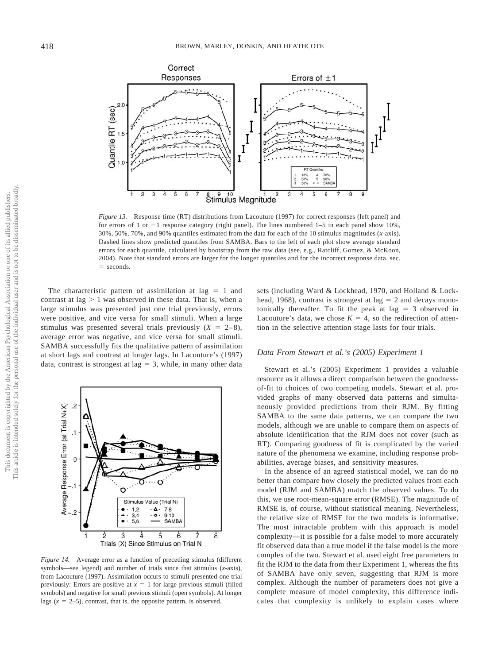

*Figure 13.* Response time (RT) distributions from Lacouture (1997) for correct responses (left panel) and for errors of 1 or  $-1$  response category (right panel). The lines numbered 1–5 in each panel show 10%, 30%, 50%, 70%, and 90% quantiles estimated from the data for each of the 10 stimulus magnitudes (*x*-axis). Dashed lines show predicted quantiles from SAMBA. Bars to the left of each plot show average standard errors for each quantile, calculated by bootstrap from the raw data (see, e.g., Ratcliff, Gomez, & McKoon, 2004). Note that standard errors are larger for the longer quantiles and for the incorrect response data. sec.  $=$  seconds.

The characteristic pattern of assimilation at lag  $= 1$  and contrast at  $\log$  > 1 was observed in these data. That is, when a large stimulus was presented just one trial previously, errors were positive, and vice versa for small stimuli. When a large stimulus was presented several trials previously  $(X = 2-8)$ , average error was negative, and vice versa for small stimuli. SAMBA successfully fits the qualitative pattern of assimilation at short lags and contrast at longer lags. In Lacouture's (1997) data, contrast is strongest at  $\log = 3$ , while, in many other data



*Figure 14.* Average error as a function of preceding stimulus (different symbols—see legend) and number of trials since that stimulus (*x*-axis), from Lacouture (1997). Assimilation occurs to stimuli presented one trial previously: Errors are positive at  $x = 1$  for large previous stimuli (filled symbols) and negative for small previous stimuli (open symbols). At longer lags  $(x = 2-5)$ , contrast, that is, the opposite pattern, is observed.

sets (including Ward & Lockhead, 1970, and Holland & Lockhead, 1968), contrast is strongest at lag  $= 2$  and decays monotonically thereafter. To fit the peak at lag  $=$  3 observed in Lacouture's data, we chose  $K = 4$ , so the redirection of attention in the selective attention stage lasts for four trials.

#### *Data From Stewart et al.'s (2005) Experiment 1*

Stewart et al.'s (2005) Experiment 1 provides a valuable resource as it allows a direct comparison between the goodnessof-fit to choices of two competing models. Stewart et al. provided graphs of many observed data patterns and simultaneously provided predictions from their RJM. By fitting SAMBA to the same data patterns, we can compare the two models, although we are unable to compare them on aspects of absolute identification that the RJM does not cover (such as RT). Comparing goodness of fit is complicated by the varied nature of the phenomena we examine, including response probabilities, average biases, and sensitivity measures.

In the absence of an agreed statistical model, we can do no better than compare how closely the predicted values from each model (RJM and SAMBA) match the observed values. To do this, we use root-mean-square error (RMSE). The magnitude of RMSE is, of course, without statistical meaning. Nevertheless, the relative size of RMSE for the two models is informative. The most intractable problem with this approach is model complexity—it is possible for a false model to more accurately fit observed data than a true model if the false model is the more complex of the two. Stewart et al. used eight free parameters to fit the RJM to the data from their Experiment 1, whereas the fits of SAMBA have only seven, suggesting that RJM is more complex. Although the number of parameters does not give a complete measure of model complexity, this difference indicates that complexity is unlikely to explain cases where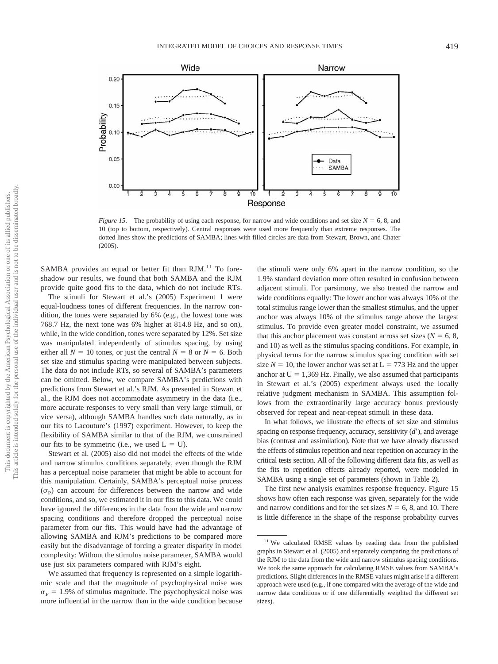

*Figure 15.* The probability of using each response, for narrow and wide conditions and set size  $N = 6, 8$ , and 10 (top to bottom, respectively). Central responses were used more frequently than extreme responses. The dotted lines show the predictions of SAMBA; lines with filled circles are data from Stewart, Brown, and Chater (2005).

SAMBA provides an equal or better fit than RJM.<sup>11</sup> To foreshadow our results, we found that both SAMBA and the RJM provide quite good fits to the data, which do not include RTs.

The stimuli for Stewart et al.'s (2005) Experiment 1 were equal-loudness tones of different frequencies. In the narrow condition, the tones were separated by 6% (e.g., the lowest tone was 768.7 Hz, the next tone was 6% higher at 814.8 Hz, and so on), while, in the wide condition, tones were separated by 12%. Set size was manipulated independently of stimulus spacing, by using either all  $N = 10$  tones, or just the central  $N = 8$  or  $N = 6$ . Both set size and stimulus spacing were manipulated between subjects. The data do not include RTs, so several of SAMBA's parameters can be omitted. Below, we compare SAMBA's predictions with predictions from Stewart et al.'s RJM. As presented in Stewart et al., the RJM does not accommodate asymmetry in the data (i.e., more accurate responses to very small than very large stimuli, or vice versa), although SAMBA handles such data naturally, as in our fits to Lacouture's (1997) experiment. However, to keep the flexibility of SAMBA similar to that of the RJM, we constrained our fits to be symmetric (i.e., we used  $L = U$ ).

Stewart et al. (2005) also did not model the effects of the wide and narrow stimulus conditions separately, even though the RJM has a perceptual noise parameter that might be able to account for this manipulation. Certainly, SAMBA's perceptual noise process  $(\sigma_{\rm p})$  can account for differences between the narrow and wide conditions, and so, we estimated it in our fits to this data. We could have ignored the differences in the data from the wide and narrow spacing conditions and therefore dropped the perceptual noise parameter from our fits. This would have had the advantage of allowing SAMBA and RJM's predictions to be compared more easily but the disadvantage of forcing a greater disparity in model complexity: Without the stimulus noise parameter, SAMBA would use just six parameters compared with RJM's eight.

We assumed that frequency is represented on a simple logarithmic scale and that the magnitude of psychophysical noise was  $\sigma_{\rm P}$  = 1.9% of stimulus magnitude. The psychophysical noise was more influential in the narrow than in the wide condition because the stimuli were only 6% apart in the narrow condition, so the 1.9% standard deviation more often resulted in confusion between adjacent stimuli. For parsimony, we also treated the narrow and wide conditions equally: The lower anchor was always 10% of the total stimulus range lower than the smallest stimulus, and the upper anchor was always 10% of the stimulus range above the largest stimulus. To provide even greater model constraint, we assumed that this anchor placement was constant across set sizes ( $N = 6, 8$ , and 10) as well as the stimulus spacing conditions. For example, in physical terms for the narrow stimulus spacing condition with set size  $N = 10$ , the lower anchor was set at  $L = 773$  Hz and the upper anchor at  $U = 1,369$  Hz. Finally, we also assumed that participants in Stewart et al.'s (2005) experiment always used the locally relative judgment mechanism in SAMBA. This assumption follows from the extraordinarily large accuracy bonus previously observed for repeat and near-repeat stimuli in these data.

In what follows, we illustrate the effects of set size and stimulus spacing on response frequency, accuracy, sensitivity (d'), and average bias (contrast and assimilation). Note that we have already discussed the effects of stimulus repetition and near repetition on accuracy in the critical tests section. All of the following different data fits, as well as the fits to repetition effects already reported, were modeled in SAMBA using a single set of parameters (shown in Table 2).

The first new analysis examines response frequency. Figure 15 shows how often each response was given, separately for the wide and narrow conditions and for the set sizes  $N = 6$ , 8, and 10. There is little difference in the shape of the response probability curves

<sup>&</sup>lt;sup>11</sup> We calculated RMSE values by reading data from the published graphs in Stewart et al. (2005) and separately comparing the predictions of the RJM to the data from the wide and narrow stimulus spacing conditions. We took the same approach for calculating RMSE values from SAMBA's predictions. Slight differences in the RMSE values might arise if a different approach were used (e.g., if one compared with the average of the wide and narrow data conditions or if one differentially weighted the different set sizes).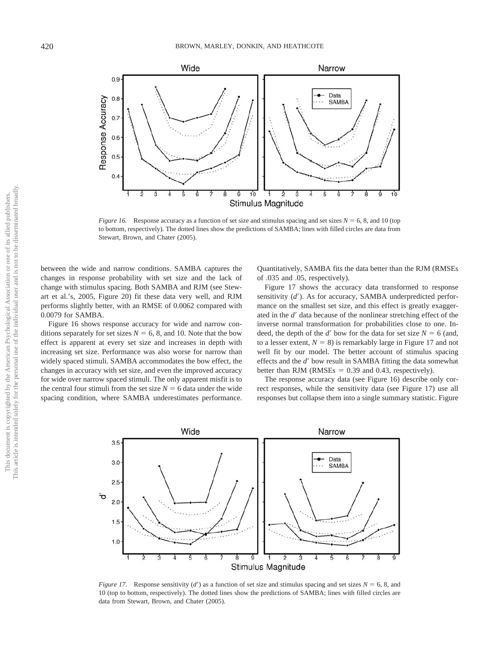

*Figure 16.* Response accuracy as a function of set size and stimulus spacing and set sizes  $N = 6, 8$ , and 10 (top to bottom, respectively). The dotted lines show the predictions of SAMBA; lines with filled circles are data from Stewart, Brown, and Chater (2005).

between the wide and narrow conditions. SAMBA captures the changes in response probability with set size and the lack of change with stimulus spacing. Both SAMBA and RJM (see Stewart et al.'s, 2005, Figure 20) fit these data very well, and RJM performs slightly better, with an RMSE of 0.0062 compared with 0.0079 for SAMBA.

Figure 16 shows response accuracy for wide and narrow conditions separately for set sizes  $N = 6$ , 8, and 10. Note that the bow effect is apparent at every set size and increases in depth with increasing set size. Performance was also worse for narrow than widely spaced stimuli. SAMBA accommodates the bow effect, the changes in accuracy with set size, and even the improved accuracy for wide over narrow spaced stimuli. The only apparent misfit is to the central four stimuli from the set size  $N = 6$  data under the wide spacing condition, where SAMBA underestimates performance.

Quantitatively, SAMBA fits the data better than the RJM (RMSEs of .035 and .05, respectively).

Figure 17 shows the accuracy data transformed to response sensitivity (*d'*). As for accuracy, SAMBA underpredicted performance on the smallest set size, and this effect is greatly exaggerated in the  $d'$  data because of the nonlinear stretching effect of the inverse normal transformation for probabilities close to one. Indeed, the depth of the *d'* bow for the data for set size  $N = 6$  (and, to a lesser extent,  $N = 8$ ) is remarkably large in Figure 17 and not well fit by our model. The better account of stimulus spacing effects and the *d'* bow result in SAMBA fitting the data somewhat better than RJM (RMSEs  $= 0.39$  and 0.43, respectively).

The response accuracy data (see Figure 16) describe only correct responses, while the sensitivity data (see Figure 17) use all responses but collapse them into a single summary statistic. Figure



*Figure 17.* Response sensitivity (*d'*) as a function of set size and stimulus spacing and set sizes  $N = 6$ , 8, and 10 (top to bottom, respectively). The dotted lines show the predictions of SAMBA; lines with filled circles are data from Stewart, Brown, and Chater (2005).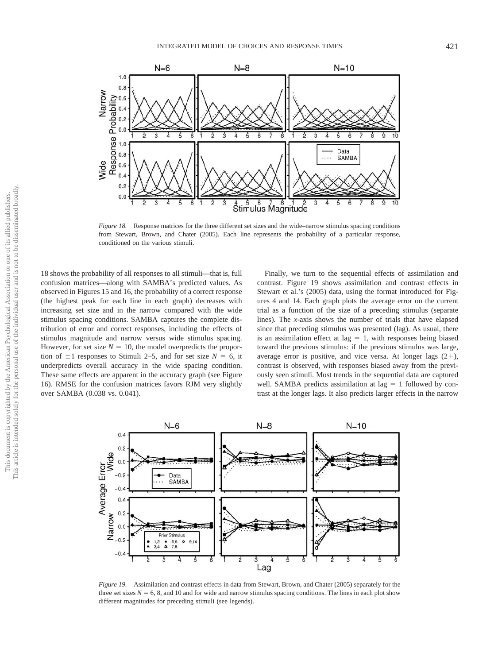

*Figure 18.* Response matrices for the three different set sizes and the wide–narrow stimulus spacing conditions from Stewart, Brown, and Chater (2005). Each line represents the probability of a particular response, conditioned on the various stimuli.

18 shows the probability of all responses to all stimuli—that is, full confusion matrices—along with SAMBA's predicted values. As observed in Figures 15 and 16, the probability of a correct response (the highest peak for each line in each graph) decreases with increasing set size and in the narrow compared with the wide stimulus spacing conditions. SAMBA captures the complete distribution of error and correct responses, including the effects of stimulus magnitude and narrow versus wide stimulus spacing. However, for set size  $N = 10$ , the model overpredicts the proportion of  $\pm 1$  responses to Stimuli 2–5, and for set size  $N = 6$ , it underpredicts overall accuracy in the wide spacing condition. These same effects are apparent in the accuracy graph (see Figure 16). RMSE for the confusion matrices favors RJM very slightly over SAMBA (0.038 vs. 0.041).

Finally, we turn to the sequential effects of assimilation and contrast. Figure 19 shows assimilation and contrast effects in Stewart et al.'s (2005) data, using the format introduced for Figures 4 and 14. Each graph plots the average error on the current trial as a function of the size of a preceding stimulus (separate lines). The *x*-axis shows the number of trials that have elapsed since that preceding stimulus was presented (lag). As usual, there is an assimilation effect at  $\log = 1$ , with responses being biased toward the previous stimulus: if the previous stimulus was large, average error is positive, and vice versa. At longer lags  $(2+)$ , contrast is observed, with responses biased away from the previously seen stimuli. Most trends in the sequential data are captured well. SAMBA predicts assimilation at lag  $= 1$  followed by contrast at the longer lags. It also predicts larger effects in the narrow



*Figure 19.* Assimilation and contrast effects in data from Stewart, Brown, and Chater (2005) separately for the three set sizes  $N = 6$ , 8, and 10 and for wide and narrow stimulus spacing conditions. The lines in each plot show different magnitudes for preceding stimuli (see legends).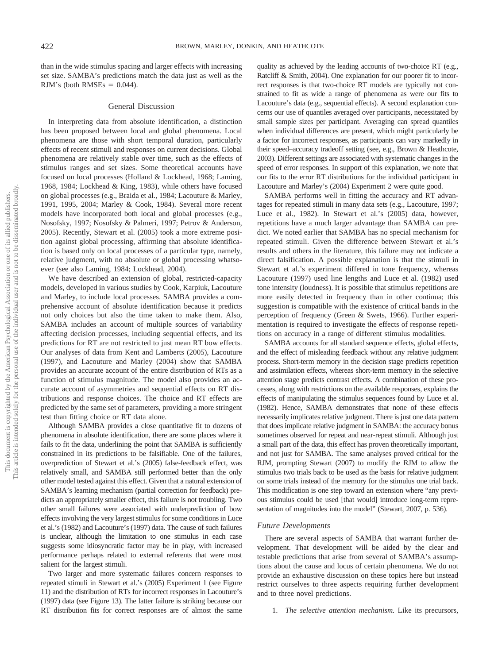than in the wide stimulus spacing and larger effects with increasing set size. SAMBA's predictions match the data just as well as the RJM's (both RMSEs  $= 0.044$ ).

## General Discussion

In interpreting data from absolute identification, a distinction has been proposed between local and global phenomena. Local phenomena are those with short temporal duration, particularly effects of recent stimuli and responses on current decisions. Global phenomena are relatively stable over time, such as the effects of stimulus ranges and set sizes. Some theoretical accounts have focused on local processes (Holland & Lockhead, 1968; Laming, 1968, 1984; Lockhead & King, 1983), while others have focused on global processes (e.g., Braida et al., 1984; Lacouture & Marley, 1991, 1995, 2004; Marley & Cook, 1984). Several more recent models have incorporated both local and global processes (e.g., Nosofsky, 1997; Nosofsky & Palmeri, 1997; Petrov & Anderson, 2005). Recently, Stewart et al. (2005) took a more extreme position against global processing, affirming that absolute identification is based only on local processes of a particular type, namely, relative judgment, with no absolute or global processing whatsoever (see also Laming, 1984; Lockhead, 2004).

We have described an extension of global, restricted-capacity models, developed in various studies by Cook, Karpiuk, Lacouture and Marley, to include local processes. SAMBA provides a comprehensive account of absolute identification because it predicts not only choices but also the time taken to make them. Also, SAMBA includes an account of multiple sources of variability affecting decision processes, including sequential effects, and its predictions for RT are not restricted to just mean RT bow effects. Our analyses of data from Kent and Lamberts (2005), Lacouture (1997), and Lacouture and Marley (2004) show that SAMBA provides an accurate account of the entire distribution of RTs as a function of stimulus magnitude. The model also provides an accurate account of asymmetries and sequential effects on RT distributions and response choices. The choice and RT effects are predicted by the same set of parameters, providing a more stringent test than fitting choice or RT data alone.

Although SAMBA provides a close quantitative fit to dozens of phenomena in absolute identification, there are some places where it fails to fit the data, underlining the point that SAMBA is sufficiently constrained in its predictions to be falsifiable. One of the failures, overprediction of Stewart et al.'s (2005) false-feedback effect, was relatively small, and SAMBA still performed better than the only other model tested against this effect. Given that a natural extension of SAMBA's learning mechanism (partial correction for feedback) predicts an appropriately smaller effect, this failure is not troubling. Two other small failures were associated with underprediction of bow effects involving the very largest stimulus for some conditions in Luce et al.'s (1982) and Lacouture's (1997) data. The cause of such failures is unclear, although the limitation to one stimulus in each case suggests some idiosyncratic factor may be in play, with increased performance perhaps related to external referents that were most salient for the largest stimuli.

Two larger and more systematic failures concern responses to repeated stimuli in Stewart et al.'s (2005) Experiment 1 (see Figure 11) and the distribution of RTs for incorrect responses in Lacouture's (1997) data (see Figure 13). The latter failure is striking because our RT distribution fits for correct responses are of almost the same

quality as achieved by the leading accounts of two-choice RT (e.g., Ratcliff & Smith, 2004). One explanation for our poorer fit to incorrect responses is that two-choice RT models are typically not constrained to fit as wide a range of phenomena as were our fits to Lacouture's data (e.g., sequential effects). A second explanation concerns our use of quantiles averaged over participants, necessitated by small sample sizes per participant. Averaging can spread quantiles when individual differences are present, which might particularly be a factor for incorrect responses, as participants can vary markedly in their speed–accuracy tradeoff setting (see, e.g., Brown & Heathcote, 2003). Different settings are associated with systematic changes in the speed of error responses. In support of this explanation, we note that our fits to the error RT distributions for the individual participant in Lacouture and Marley's (2004) Experiment 2 were quite good.

SAMBA performs well in fitting the accuracy and RT advantages for repeated stimuli in many data sets (e.g., Lacouture, 1997; Luce et al., 1982). In Stewart et al.'s (2005) data, however, repetitions have a much larger advantage than SAMBA can predict. We noted earlier that SAMBA has no special mechanism for repeated stimuli. Given the difference between Stewart et al.'s results and others in the literature, this failure may not indicate a direct falsification. A possible explanation is that the stimuli in Stewart et al.'s experiment differed in tone frequency, whereas Lacouture (1997) used line lengths and Luce et al. (1982) used tone intensity (loudness). It is possible that stimulus repetitions are more easily detected in frequency than in other continua; this suggestion is compatible with the existence of critical bands in the perception of frequency (Green & Swets, 1966). Further experimentation is required to investigate the effects of response repetitions on accuracy in a range of different stimulus modalities.

SAMBA accounts for all standard sequence effects, global effects, and the effect of misleading feedback without any relative judgment process. Short-term memory in the decision stage predicts repetition and assimilation effects, whereas short-term memory in the selective attention stage predicts contrast effects. A combination of these processes, along with restrictions on the available responses, explains the effects of manipulating the stimulus sequences found by Luce et al. (1982). Hence, SAMBA demonstrates that none of these effects necessarily implicates relative judgment. There is just one data pattern that does implicate relative judgment in SAMBA: the accuracy bonus sometimes observed for repeat and near-repeat stimuli. Although just a small part of the data, this effect has proven theoretically important, and not just for SAMBA. The same analyses proved critical for the RJM, prompting Stewart (2007) to modify the RJM to allow the stimulus two trials back to be used as the basis for relative judgment on some trials instead of the memory for the stimulus one trial back. This modification is one step toward an extension where "any previous stimulus could be used [that would] introduce long-term representation of magnitudes into the model" (Stewart, 2007, p. 536).

#### *Future Developments*

There are several aspects of SAMBA that warrant further development. That development will be aided by the clear and testable predictions that arise from several of SAMBA's assumptions about the cause and locus of certain phenomena. We do not provide an exhaustive discussion on these topics here but instead restrict ourselves to three aspects requiring further development and to three novel predictions.

1. *The selective attention mechanism.* Like its precursors,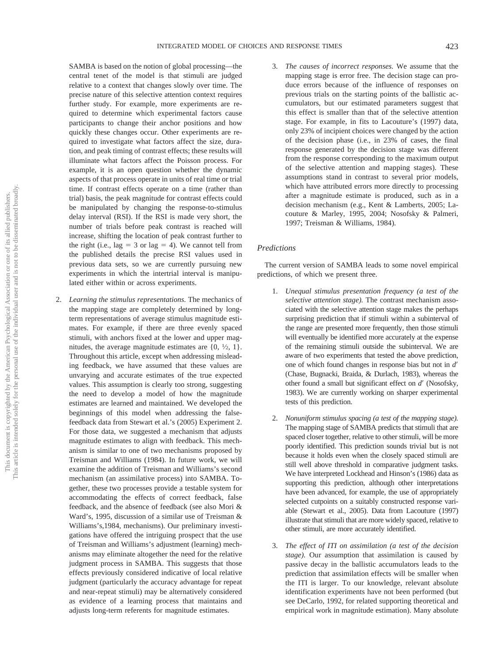SAMBA is based on the notion of global processing—the central tenet of the model is that stimuli are judged relative to a context that changes slowly over time. The precise nature of this selective attention context requires further study. For example, more experiments are required to determine which experimental factors cause participants to change their anchor positions and how quickly these changes occur. Other experiments are required to investigate what factors affect the size, duration, and peak timing of contrast effects; these results will illuminate what factors affect the Poisson process. For example, it is an open question whether the dynamic aspects of that process operate in units of real time or trial time. If contrast effects operate on a time (rather than trial) basis, the peak magnitude for contrast effects could be manipulated by changing the response-to-stimulus delay interval (RSI). If the RSI is made very short, the number of trials before peak contrast is reached will increase, shifting the location of peak contrast further to the right (i.e., lag = 3 or lag = 4). We cannot tell from the published details the precise RSI values used in previous data sets, so we are currently pursuing new experiments in which the intertrial interval is manipulated either within or across experiments.

2. *Learning the stimulus representations.* The mechanics of the mapping stage are completely determined by longterm representations of average stimulus magnitude estimates. For example, if there are three evenly spaced stimuli, with anchors fixed at the lower and upper magnitudes, the average magnitude estimates are  $\{0, \frac{1}{2}, 1\}$ . Throughout this article, except when addressing misleading feedback, we have assumed that these values are unvarying and accurate estimates of the true expected values. This assumption is clearly too strong, suggesting the need to develop a model of how the magnitude estimates are learned and maintained. We developed the beginnings of this model when addressing the falsefeedback data from Stewart et al.'s (2005) Experiment 2. For those data, we suggested a mechanism that adjusts magnitude estimates to align with feedback. This mechanism is similar to one of two mechanisms proposed by Treisman and Williams (1984). In future work, we will examine the addition of Treisman and Williams's second mechanism (an assimilative process) into SAMBA. Together, these two processes provide a testable system for accommodating the effects of correct feedback, false feedback, and the absence of feedback (see also Mori & Ward's, 1995, discussion of a similar use of Treisman & Williams's,1984, mechanisms). Our preliminary investigations have offered the intriguing prospect that the use of Treisman and Williams's adjustment (learning) mechanisms may eliminate altogether the need for the relative judgment process in SAMBA. This suggests that those effects previously considered indicative of local relative judgment (particularly the accuracy advantage for repeat and near-repeat stimuli) may be alternatively considered as evidence of a learning process that maintains and adjusts long-term referents for magnitude estimates.

3. *The causes of incorrect responses.* We assume that the mapping stage is error free. The decision stage can produce errors because of the influence of responses on previous trials on the starting points of the ballistic accumulators, but our estimated parameters suggest that this effect is smaller than that of the selective attention stage. For example, in fits to Lacouture's (1997) data, only 23% of incipient choices were changed by the action of the decision phase (i.e., in 23% of cases, the final response generated by the decision stage was different from the response corresponding to the maximum output of the selective attention and mapping stages). These assumptions stand in contrast to several prior models, which have attributed errors more directly to processing after a magnitude estimate is produced, such as in a decision mechanism (e.g., Kent & Lamberts, 2005; Lacouture & Marley, 1995, 2004; Nosofsky & Palmeri, 1997; Treisman & Williams, 1984).

# *Predictions*

The current version of SAMBA leads to some novel empirical predictions, of which we present three.

- 1. *Unequal stimulus presentation frequency (a test of the selective attention stage).* The contrast mechanism associated with the selective attention stage makes the perhaps surprising prediction that if stimuli within a subinterval of the range are presented more frequently, then those stimuli will eventually be identified more accurately at the expense of the remaining stimuli outside the subinterval. We are aware of two experiments that tested the above prediction, one of which found changes in response bias but not in *d* (Chase, Bugnacki, Braida, & Durlach, 1983), whereas the other found a small but significant effect on *d'* (Nosofsky, 1983). We are currently working on sharper experimental tests of this prediction.
- 2. *Nonuniform stimulus spacing (a test of the mapping stage).* The mapping stage of SAMBA predicts that stimuli that are spaced closer together, relative to other stimuli, will be more poorly identified. This prediction sounds trivial but is not because it holds even when the closely spaced stimuli are still well above threshold in comparative judgment tasks. We have interpreted Lockhead and Hinson's (1986) data as supporting this prediction, although other interpretations have been advanced, for example, the use of appropriately selected cutpoints on a suitably constructed response variable (Stewart et al., 2005). Data from Lacouture (1997) illustrate that stimuli that are more widely spaced, relative to other stimuli, are more accurately identified.
- 3. *The effect of ITI on assimilation (a test of the decision stage).* Our assumption that assimilation is caused by passive decay in the ballistic accumulators leads to the prediction that assimilation effects will be smaller when the ITI is larger. To our knowledge, relevant absolute identification experiments have not been performed (but see DeCarlo, 1992, for related supporting theoretical and empirical work in magnitude estimation). Many absolute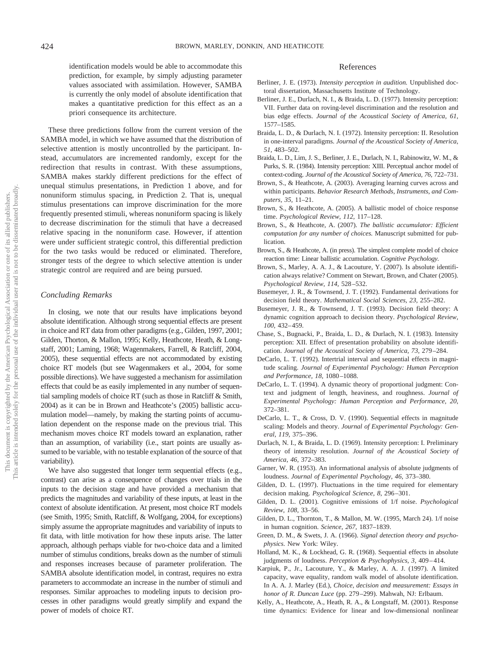identification models would be able to accommodate this prediction, for example, by simply adjusting parameter values associated with assimilation. However, SAMBA is currently the only model of absolute identification that makes a quantitative prediction for this effect as an a priori consequence its architecture.

These three predictions follow from the current version of the SAMBA model, in which we have assumed that the distribution of selective attention is mostly uncontrolled by the participant. Instead, accumulators are incremented randomly, except for the redirection that results in contrast. With these assumptions, SAMBA makes starkly different predictions for the effect of unequal stimulus presentations, in Prediction 1 above, and for nonuniform stimulus spacing, in Prediction 2. That is, unequal stimulus presentations can improve discrimination for the more frequently presented stimuli, whereas nonuniform spacing is likely to decrease discrimination for the stimuli that have a decreased relative spacing in the nonuniform case. However, if attention were under sufficient strategic control, this differential prediction for the two tasks would be reduced or eliminated. Therefore, stronger tests of the degree to which selective attention is under strategic control are required and are being pursued.

# *Concluding Remarks*

In closing, we note that our results have implications beyond absolute identification. Although strong sequential effects are present in choice and RT data from other paradigms (e.g., Gilden, 1997, 2001; Gilden, Thorton, & Mallon, 1995; Kelly, Heathcote, Heath, & Longstaff, 2001; Laming, 1968; Wagenmakers, Farrell, & Ratcliff, 2004, 2005), these sequential effects are not accommodated by existing choice RT models (but see Wagenmakers et al., 2004, for some possible directions). We have suggested a mechanism for assimilation effects that could be as easily implemented in any number of sequential sampling models of choice RT (such as those in Ratcliff & Smith, 2004) as it can be in Brown and Heathcote's (2005) ballistic accumulation model—namely, by making the starting points of accumulation dependent on the response made on the previous trial. This mechanism moves choice RT models toward an explanation, rather than an assumption, of variability (i.e., start points are usually assumed to be variable, with no testable explanation of the source of that variability).

We have also suggested that longer term sequential effects (e.g., contrast) can arise as a consequence of changes over trials in the inputs to the decision stage and have provided a mechanism that predicts the magnitudes and variability of these inputs, at least in the context of absolute identification. At present, most choice RT models (see Smith, 1995; Smith, Ratcliff, & Wolfgang, 2004, for exceptions) simply assume the appropriate magnitudes and variability of inputs to fit data, with little motivation for how these inputs arise. The latter approach, although perhaps viable for two-choice data and a limited number of stimulus conditions, breaks down as the number of stimuli and responses increases because of parameter proliferation. The SAMBA absolute identification model, in contrast, requires no extra parameters to accommodate an increase in the number of stimuli and responses. Similar approaches to modeling inputs to decision processes in other paradigms would greatly simplify and expand the power of models of choice RT.

# References

- Berliner, J. E. (1973). *Intensity perception in audition.* Unpublished doctoral dissertation, Massachusetts Institute of Technology.
- Berliner, J. E., Durlach, N. I., & Braida, L. D. (1977). Intensity perception: VII. Further data on roving-level discrimination and the resolution and bias edge effects. *Journal of the Acoustical Society of America, 61,* 1577–1585.
- Braida, L. D., & Durlach, N. I. (1972). Intensity perception: II. Resolution in one-interval paradigms. *Journal of the Acoustical Society of America, 51,* 483–502.
- Braida, L. D., Lim, J. S., Berliner, J. E., Durlach, N. I., Rabinowitz, W. M., & Purks, S. R. (1984). Intensity perception: XIII. Perceptual anchor model of context-coding. *Journal of the Acoustical Society of America, 76,* 722–731.
- Brown, S., & Heathcote, A. (2003). Averaging learning curves across and within participants. *Behavior Research Methods, Instruments, and Computers, 35,* 11–21.
- Brown, S., & Heathcote, A. (2005). A ballistic model of choice response time. *Psychological Review, 112,* 117–128.
- Brown, S., & Heathcote, A. (2007). *The ballistic accumulator: Efficient computation for any number of choices.* Manuscript submitted for publication.
- Brown, S., & Heathcote, A. (in press). The simplest complete model of choice reaction time: Linear ballistic accumulation. *Cognitive Psychology.*
- Brown, S., Marley, A. A. J., & Lacouture, Y. (2007). Is absolute identification always relative? Comment on Stewart, Brown, and Chater (2005). *Psychological Review, 114,* 528–532.
- Busemeyer, J. R., & Townsend, J. T. (1992). Fundamental derivations for decision field theory. *Mathematical Social Sciences, 23,* 255–282.
- Busemeyer, J. R., & Townsend, J. T. (1993). Decision field theory: A dynamic cognition approach to decision theory. *Psychological Review, 100,* 432–459.
- Chase, S., Bugnacki, P., Braida, L. D., & Durlach, N. I. (1983). Intensity perception: XII. Effect of presentation probability on absolute identification. *Journal of the Acoustical Society of America, 73,* 279–284.
- DeCarlo, L. T. (1992). Intertrial interval and sequential effects in magnitude scaling. *Journal of Experimental Psychology: Human Perception and Performance, 18,* 1080–1088.
- DeCarlo, L. T. (1994). A dynamic theory of proportional judgment: Context and judgment of length, heaviness, and roughness. *Journal of Experimental Psychology: Human Perception and Performance, 20,* 372–381.
- DeCarlo, L. T., & Cross, D. V. (1990). Sequential effects in magnitude scaling: Models and theory. *Journal of Experimental Psychology: General, 119,* 375–396.
- Durlach, N. I., & Braida, L. D. (1969). Intensity perception: I. Preliminary theory of intensity resolution. *Journal of the Acoustical Society of America, 46,* 372–383.
- Garner, W. R. (1953). An informational analysis of absolute judgments of loudness. *Journal of Experimental Psychology, 46,* 373–380.
- Gilden, D. L. (1997). Fluctuations in the time required for elementary decision making. *Psychological Science, 8,* 296–301.
- Gilden, D. L. (2001). Cognitive emissions of 1/f noise. *Psychological Review, 108,* 33–56.
- Gilden, D. L., Thornton, T., & Mallon, M. W. (1995, March 24). 1/f noise in human cognition. *Science, 267,* 1837–1839.
- Green, D. M., & Swets, J. A. (1966). *Signal detection theory and psychophysics.* New York: Wiley.
- Holland, M. K., & Lockhead, G. R. (1968). Sequential effects in absolute judgments of loudness. *Perception & Psychophysics, 3,* 409–414.
- Karpiuk, P., Jr., Lacouture, Y., & Marley, A. A. J. (1997). A limited capacity, wave equality, random walk model of absolute identification. In A. A. J. Marley (Ed.), *Choice, decision and measurement: Essays in honor of R. Duncan Luce* (pp. 279–299). Mahwah, NJ: Erlbaum.
- Kelly, A., Heathcote, A., Heath, R. A., & Longstaff, M. (2001). Response time dynamics: Evidence for linear and low-dimensional nonlinear